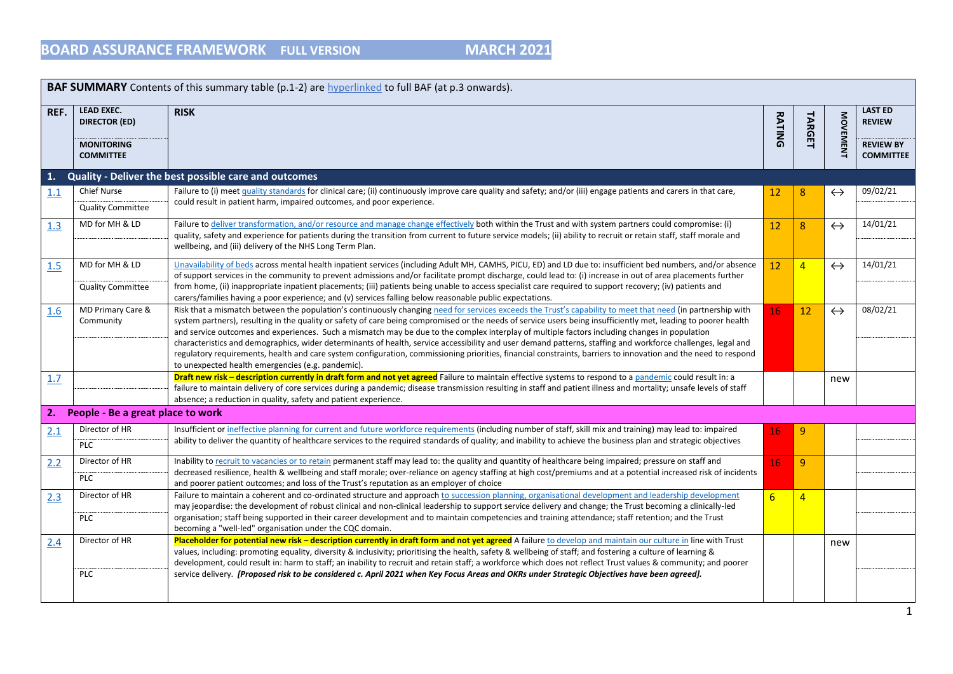|      | <b>BAF SUMMARY</b> Contents of this summary table (p.1-2) are hyperlinked to full BAF (at p.3 onwards). |                                                                                                                                                                                                                                                                                                                                                                                                                                                                                                                                                                                                                                                                                                                                                                                                                                                                        |                 |                |                   |                                                                         |  |  |  |
|------|---------------------------------------------------------------------------------------------------------|------------------------------------------------------------------------------------------------------------------------------------------------------------------------------------------------------------------------------------------------------------------------------------------------------------------------------------------------------------------------------------------------------------------------------------------------------------------------------------------------------------------------------------------------------------------------------------------------------------------------------------------------------------------------------------------------------------------------------------------------------------------------------------------------------------------------------------------------------------------------|-----------------|----------------|-------------------|-------------------------------------------------------------------------|--|--|--|
| REF. | LEAD EXEC.<br><b>DIRECTOR (ED)</b><br><b>MONITORING</b><br><b>COMMITTEE</b>                             | <b>RISK</b>                                                                                                                                                                                                                                                                                                                                                                                                                                                                                                                                                                                                                                                                                                                                                                                                                                                            |                 |                | <b>MOVEMENT</b>   | <b>LAST ED</b><br><b>REVIEW</b><br><b>REVIEW BY</b><br><b>COMMITTEE</b> |  |  |  |
| 1.   |                                                                                                         | Quality - Deliver the best possible care and outcomes                                                                                                                                                                                                                                                                                                                                                                                                                                                                                                                                                                                                                                                                                                                                                                                                                  |                 |                |                   |                                                                         |  |  |  |
| 1.1  | <b>Chief Nurse</b><br><b>Quality Committee</b>                                                          | Failure to (i) meet quality standards for clinical care; (ii) continuously improve care quality and safety; and/or (iii) engage patients and carers in that care,<br>could result in patient harm, impaired outcomes, and poor experience.                                                                                                                                                                                                                                                                                                                                                                                                                                                                                                                                                                                                                             | 12 <sup>2</sup> | 8              | $\leftrightarrow$ | 09/02/21                                                                |  |  |  |
| 1.3  | MD for MH & LD                                                                                          | Failure to deliver transformation, and/or resource and manage change effectively both within the Trust and with system partners could compromise: (i)<br>quality, safety and experience for patients during the transition from current to future service models; (ii) ability to recruit or retain staff, staff morale and<br>wellbeing, and (iii) delivery of the NHS Long Term Plan.                                                                                                                                                                                                                                                                                                                                                                                                                                                                                | 12              | 8              | $\leftrightarrow$ | 14/01/21                                                                |  |  |  |
| 1.5  | MD for MH & LD<br><b>Quality Committee</b>                                                              | Unavailability of beds across mental health inpatient services (including Adult MH, CAMHS, PICU, ED) and LD due to: insufficient bed numbers, and/or absence<br>of support services in the community to prevent admissions and/or facilitate prompt discharge, could lead to: (i) increase in out of area placements further<br>from home, (ii) inappropriate inpatient placements; (iii) patients being unable to access specialist care required to support recovery; (iv) patients and<br>carers/families having a poor experience; and (v) services falling below reasonable public expectations.                                                                                                                                                                                                                                                                  | 12              | $\overline{4}$ | $\leftrightarrow$ | 14/01/21                                                                |  |  |  |
| 1.6  | MD Primary Care &<br>Community                                                                          | Risk that a mismatch between the population's continuously changing need for services exceeds the Trust's capability to meet that need (in partnership with<br>system partners), resulting in the quality or safety of care being compromised or the needs of service users being insufficiently met, leading to poorer health<br>and service outcomes and experiences. Such a mismatch may be due to the complex interplay of multiple factors including changes in population<br>characteristics and demographics, wider determinants of health, service accessibility and user demand patterns, staffing and workforce challenges, legal and<br>regulatory requirements, health and care system configuration, commissioning priorities, financial constraints, barriers to innovation and the need to respond<br>to unexpected health emergencies (e.g. pandemic). | 16              | 12             | $\leftrightarrow$ | 08/02/21                                                                |  |  |  |
| 1.7  |                                                                                                         | Draft new risk - description currently in draft form and not yet agreed Failure to maintain effective systems to respond to a pandemic could result in: a<br>failure to maintain delivery of core services during a pandemic; disease transmission resulting in staff and patient illness and mortality; unsafe levels of staff<br>absence; a reduction in quality, safety and patient experience.                                                                                                                                                                                                                                                                                                                                                                                                                                                                     |                 |                | new               |                                                                         |  |  |  |
| 2.   | People - Be a great place to work                                                                       |                                                                                                                                                                                                                                                                                                                                                                                                                                                                                                                                                                                                                                                                                                                                                                                                                                                                        |                 |                |                   |                                                                         |  |  |  |
| 2.1  | Director of HR<br><b>PLC</b>                                                                            | Insufficient or ineffective planning for current and future workforce requirements (including number of staff, skill mix and training) may lead to: impaired<br>ability to deliver the quantity of healthcare services to the required standards of quality; and inability to achieve the business plan and strategic objectives                                                                                                                                                                                                                                                                                                                                                                                                                                                                                                                                       | 16              | $\overline{9}$ |                   |                                                                         |  |  |  |
| 2.2  | Director of HR<br>PLC                                                                                   | Inability to recruit to vacancies or to retain permanent staff may lead to: the quality and quantity of healthcare being impaired; pressure on staff and<br>decreased resilience, health & wellbeing and staff morale; over-reliance on agency staffing at high cost/premiums and at a potential increased risk of incidents<br>and poorer patient outcomes; and loss of the Trust's reputation as an employer of choice                                                                                                                                                                                                                                                                                                                                                                                                                                               | 16              | $\overline{9}$ |                   |                                                                         |  |  |  |
| 2.3  | Director of HR<br><b>PLC</b>                                                                            | Failure to maintain a coherent and co-ordinated structure and approach to succession planning, organisational development and leadership development<br>may jeopardise: the development of robust clinical and non-clinical leadership to support service delivery and change; the Trust becoming a clinically-led<br>organisation; staff being supported in their career development and to maintain competencies and training attendance; staff retention; and the Trust<br>becoming a "well-led" organisation under the CQC domain.                                                                                                                                                                                                                                                                                                                                 | 6               | $\overline{4}$ |                   |                                                                         |  |  |  |
| 2.4  | Director of HR                                                                                          | Placeholder for potential new risk - description currently in draft form and not yet agreed A failure to develop and maintain our culture in line with Trust<br>values, including: promoting equality, diversity & inclusivity; prioritising the health, safety & wellbeing of staff; and fostering a culture of learning &<br>development, could result in: harm to staff; an inability to recruit and retain staff; a workforce which does not reflect Trust values & community; and poorer                                                                                                                                                                                                                                                                                                                                                                          |                 |                | new               |                                                                         |  |  |  |
|      | <b>PLC</b>                                                                                              | service delivery. [Proposed risk to be considered c. April 2021 when Key Focus Areas and OKRs under Strategic Objectives have been agreed].                                                                                                                                                                                                                                                                                                                                                                                                                                                                                                                                                                                                                                                                                                                            |                 |                |                   |                                                                         |  |  |  |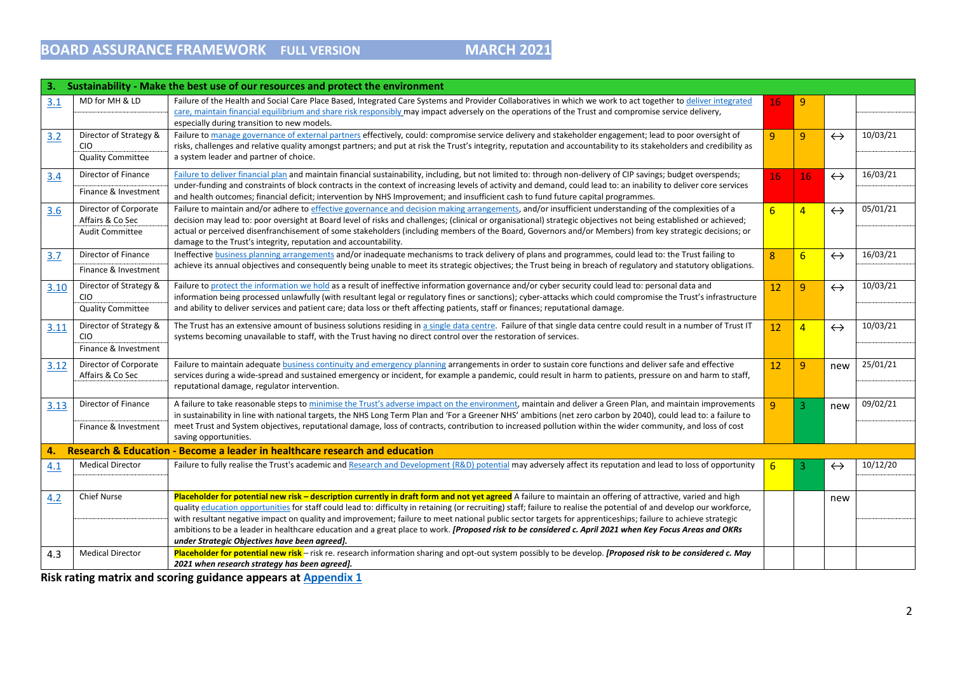| 3.   |                                                                     | Sustainability - Make the best use of our resources and protect the environment                                                                                                                                                                                                                                                                                                                                                                                                                                                                                                                                                                                                                                   |                |                 |                   |          |
|------|---------------------------------------------------------------------|-------------------------------------------------------------------------------------------------------------------------------------------------------------------------------------------------------------------------------------------------------------------------------------------------------------------------------------------------------------------------------------------------------------------------------------------------------------------------------------------------------------------------------------------------------------------------------------------------------------------------------------------------------------------------------------------------------------------|----------------|-----------------|-------------------|----------|
| 3.1  | MD for MH & LD                                                      | Failure of the Health and Social Care Place Based, Integrated Care Systems and Provider Collaboratives in which we work to act together to deliver integrated<br>care, maintain financial equilibrium and share risk responsibly may impact adversely on the operations of the Trust and compromise service delivery,<br>especially during transition to new models.                                                                                                                                                                                                                                                                                                                                              | 16             | $\overline{9}$  |                   |          |
| 3.2  | Director of Strategy &<br><b>CIO</b><br><b>Quality Committee</b>    | Failure to manage governance of external partners effectively, could: compromise service delivery and stakeholder engagement; lead to poor oversight of<br>risks, challenges and relative quality amongst partners; and put at risk the Trust's integrity, reputation and accountability to its stakeholders and credibility as<br>a system leader and partner of choice.                                                                                                                                                                                                                                                                                                                                         | 9              | 9               | $\leftrightarrow$ | 10/03/21 |
| 3.4  | Director of Finance<br>Finance & Investment                         | Failure to deliver financial plan and maintain financial sustainability, including, but not limited to: through non-delivery of CIP savings; budget overspends;<br>under-funding and constraints of block contracts in the context of increasing levels of activity and demand, could lead to: an inability to deliver core services<br>and health outcomes; financial deficit; intervention by NHS Improvement; and insufficient cash to fund future capital programmes.                                                                                                                                                                                                                                         | 16             | 16              | $\leftrightarrow$ | 16/03/21 |
| 3.6  | Director of Corporate<br>Affairs & Co Sec<br><b>Audit Committee</b> | Failure to maintain and/or adhere to effective governance and decision making arrangements, and/or insufficient understanding of the complexities of a<br>decision may lead to: poor oversight at Board level of risks and challenges; (clinical or organisational) strategic objectives not being established or achieved;<br>actual or perceived disenfranchisement of some stakeholders (including members of the Board, Governors and/or Members) from key strategic decisions; or<br>damage to the Trust's integrity, reputation and accountability.                                                                                                                                                         | $\overline{6}$ | $\overline{4}$  | $\leftrightarrow$ | 05/01/21 |
| 3.7  | Director of Finance<br>Finance & Investment                         | Ineffective business planning arrangements and/or inadequate mechanisms to track delivery of plans and programmes, could lead to: the Trust failing to<br>achieve its annual objectives and consequently being unable to meet its strategic objectives; the Trust being in breach of regulatory and statutory obligations.                                                                                                                                                                                                                                                                                                                                                                                        | 8              | $6\overline{6}$ | $\leftrightarrow$ | 16/03/21 |
| 3.10 | Director of Strategy &<br><b>CIO</b><br><b>Quality Committee</b>    | Failure to protect the information we hold as a result of ineffective information governance and/or cyber security could lead to: personal data and<br>information being processed unlawfully (with resultant legal or regulatory fines or sanctions); cyber-attacks which could compromise the Trust's infrastructure<br>and ability to deliver services and patient care; data loss or theft affecting patients, staff or finances; reputational damage.                                                                                                                                                                                                                                                        | 12             | 9               | $\leftrightarrow$ | 10/03/21 |
| 3.11 | Director of Strategy &<br><b>CIO</b><br>Finance & Investment        | The Trust has an extensive amount of business solutions residing in a single data centre. Failure of that single data centre could result in a number of Trust IT<br>systems becoming unavailable to staff, with the Trust having no direct control over the restoration of services.                                                                                                                                                                                                                                                                                                                                                                                                                             | 12             | $\overline{4}$  | $\leftrightarrow$ | 10/03/21 |
| 3.12 | Director of Corporate<br>Affairs & Co Sec                           | Failure to maintain adequate business continuity and emergency planning arrangements in order to sustain core functions and deliver safe and effective<br>services during a wide-spread and sustained emergency or incident, for example a pandemic, could result in harm to patients, pressure on and harm to staff,<br>reputational damage, regulator intervention.                                                                                                                                                                                                                                                                                                                                             | 12             | 9               | new               | 25/01/21 |
| 3.13 | Director of Finance<br>Finance & Investment                         | A failure to take reasonable steps to minimise the Trust's adverse impact on the environment, maintain and deliver a Green Plan, and maintain improvements<br>in sustainability in line with national targets, the NHS Long Term Plan and 'For a Greener NHS' ambitions (net zero carbon by 2040), could lead to: a failure to<br>meet Trust and System objectives, reputational damage, loss of contracts, contribution to increased pollution within the wider community, and loss of cost<br>saving opportunities.                                                                                                                                                                                             | $\mathbf{Q}$   | 3               | new               | 09/02/21 |
| 4.   |                                                                     | Research & Education - Become a leader in healthcare research and education                                                                                                                                                                                                                                                                                                                                                                                                                                                                                                                                                                                                                                       |                |                 |                   |          |
| 4.1  | <b>Medical Director</b>                                             | Failure to fully realise the Trust's academic and Research and Development (R&D) potential may adversely affect its reputation and lead to loss of opportunity                                                                                                                                                                                                                                                                                                                                                                                                                                                                                                                                                    | 6              | 3               | $\leftrightarrow$ | 10/12/20 |
| 4.2  | <b>Chief Nurse</b>                                                  | Placeholder for potential new risk - description currently in draft form and not yet agreed A failure to maintain an offering of attractive, varied and high<br>quality education opportunities for staff could lead to: difficulty in retaining (or recruiting) staff; failure to realise the potential of and develop our workforce,<br>with resultant negative impact on quality and improvement; failure to meet national public sector targets for apprenticeships; failure to achieve strategic<br>ambitions to be a leader in healthcare education and a great place to work. [Proposed risk to be considered c. April 2021 when Key Focus Areas and OKRs<br>under Strategic Objectives have been agreed]. |                |                 | new               |          |
| 4.3  | <b>Medical Director</b>                                             | Placeholder for potential new risk - risk re. research information sharing and opt-out system possibly to be develop. [Proposed risk to be considered c. May<br>2021 when research strategy has been agreed].                                                                                                                                                                                                                                                                                                                                                                                                                                                                                                     |                |                 |                   |          |

**Risk rating matrix and scoring guidance appears at [Appendix 1](#page-33-0)**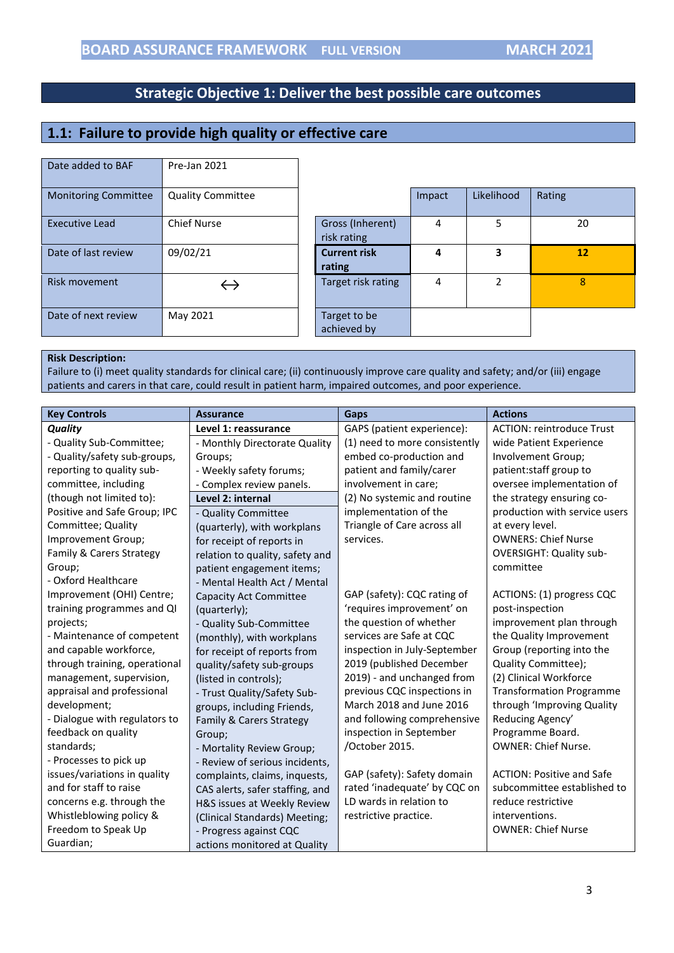# <span id="page-2-0"></span>**1.1: Failure to provide high quality or effective care**

| Date added to BAF           | Pre-Jan 2021             |                                 |        |               |        |
|-----------------------------|--------------------------|---------------------------------|--------|---------------|--------|
| <b>Monitoring Committee</b> | <b>Quality Committee</b> |                                 | Impact | Likelihood    | Rating |
| <b>Executive Lead</b>       | <b>Chief Nurse</b>       | Gross (Inherent)<br>risk rating | 4      | 5             | 20     |
| Date of last review         | 09/02/21                 | <b>Current risk</b><br>rating   | 4      | 3             | 12     |
| Risk movement               |                          | Target risk rating              | 4      | $\mathfrak z$ | 8      |
| Date of next review         | May 2021                 | Target to be<br>achieved by     |        |               |        |

#### **Risk Description:**

Failure to (i) meet quality standards for clinical care; (ii) continuously improve care quality and safety; and/or (iii) engage patients and carers in that care, could result in patient harm, impaired outcomes, and poor experience.

| <b>Key Controls</b>           | <b>Assurance</b>                | Gaps                          | <b>Actions</b>                   |
|-------------------------------|---------------------------------|-------------------------------|----------------------------------|
| <b>Quality</b>                | Level 1: reassurance            | GAPS (patient experience):    | <b>ACTION: reintroduce Trust</b> |
| - Quality Sub-Committee;      | - Monthly Directorate Quality   | (1) need to more consistently | wide Patient Experience          |
| - Quality/safety sub-groups,  | Groups;                         | embed co-production and       | Involvement Group;               |
| reporting to quality sub-     | - Weekly safety forums;         | patient and family/carer      | patient:staff group to           |
| committee, including          | - Complex review panels.        | involvement in care;          | oversee implementation of        |
| (though not limited to):      | Level 2: internal               | (2) No systemic and routine   | the strategy ensuring co-        |
| Positive and Safe Group; IPC  | - Quality Committee             | implementation of the         | production with service users    |
| Committee; Quality            | (quarterly), with workplans     | Triangle of Care across all   | at every level.                  |
| Improvement Group;            | for receipt of reports in       | services.                     | <b>OWNERS: Chief Nurse</b>       |
| Family & Carers Strategy      | relation to quality, safety and |                               | <b>OVERSIGHT: Quality sub-</b>   |
| Group;                        | patient engagement items;       |                               | committee                        |
| - Oxford Healthcare           | - Mental Health Act / Mental    |                               |                                  |
| Improvement (OHI) Centre;     | <b>Capacity Act Committee</b>   | GAP (safety): CQC rating of   | ACTIONS: (1) progress CQC        |
| training programmes and QI    | (quarterly);                    | 'requires improvement' on     | post-inspection                  |
| projects;                     | - Quality Sub-Committee         | the question of whether       | improvement plan through         |
| - Maintenance of competent    | (monthly), with workplans       | services are Safe at CQC      | the Quality Improvement          |
| and capable workforce,        | for receipt of reports from     | inspection in July-September  | Group (reporting into the        |
| through training, operational | quality/safety sub-groups       | 2019 (published December      | Quality Committee);              |
| management, supervision,      | (listed in controls);           | 2019) - and unchanged from    | (2) Clinical Workforce           |
| appraisal and professional    | - Trust Quality/Safety Sub-     | previous CQC inspections in   | <b>Transformation Programme</b>  |
| development;                  | groups, including Friends,      | March 2018 and June 2016      | through 'Improving Quality       |
| - Dialogue with regulators to | Family & Carers Strategy        | and following comprehensive   | Reducing Agency'                 |
| feedback on quality           | Group;                          | inspection in September       | Programme Board.                 |
| standards;                    | - Mortality Review Group;       | /October 2015.                | <b>OWNER: Chief Nurse.</b>       |
| - Processes to pick up        | - Review of serious incidents,  |                               |                                  |
| issues/variations in quality  | complaints, claims, inquests,   | GAP (safety): Safety domain   | <b>ACTION: Positive and Safe</b> |
| and for staff to raise        | CAS alerts, safer staffing, and | rated 'inadequate' by CQC on  | subcommittee established to      |
| concerns e.g. through the     | H&S issues at Weekly Review     | LD wards in relation to       | reduce restrictive               |
| Whistleblowing policy &       | (Clinical Standards) Meeting;   | restrictive practice.         | interventions.                   |
| Freedom to Speak Up           | - Progress against CQC          |                               | <b>OWNER: Chief Nurse</b>        |
| Guardian;                     | actions monitored at Quality    |                               |                                  |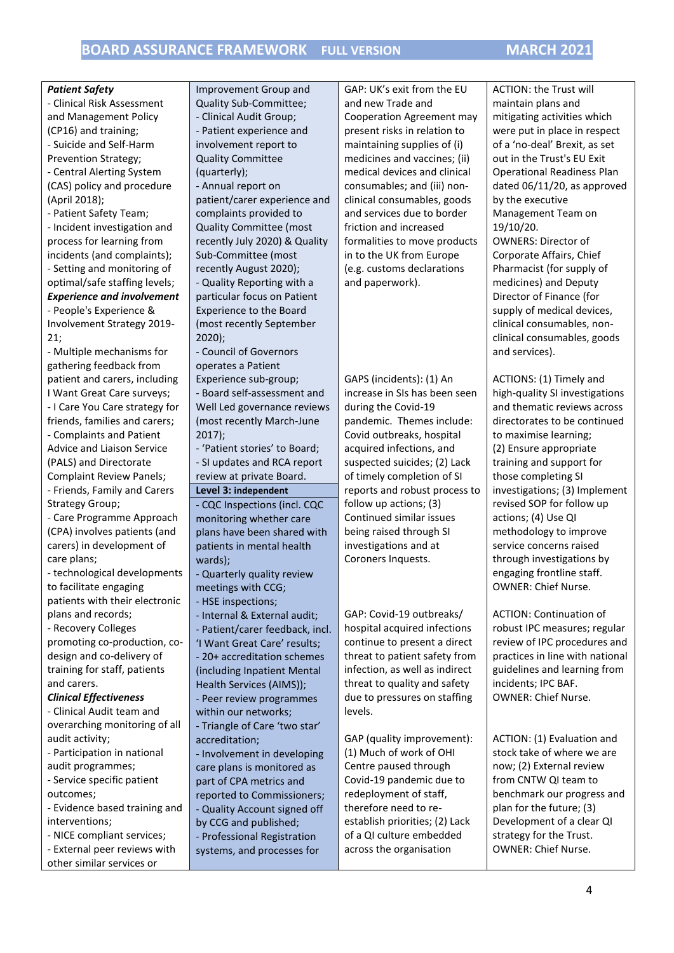| <b>Patient Safety</b>                                      | Improvement Group and                                 | GAP: UK's exit from the EU       | <b>ACTION: the Trust will</b>                     |
|------------------------------------------------------------|-------------------------------------------------------|----------------------------------|---------------------------------------------------|
| - Clinical Risk Assessment                                 | Quality Sub-Committee;                                | and new Trade and                | maintain plans and                                |
| and Management Policy                                      | - Clinical Audit Group;                               | <b>Cooperation Agreement may</b> | mitigating activities which                       |
| (CP16) and training;                                       | - Patient experience and                              | present risks in relation to     | were put in place in respect                      |
| - Suicide and Self-Harm                                    | involvement report to                                 | maintaining supplies of (i)      | of a 'no-deal' Brexit, as set                     |
| Prevention Strategy;                                       | <b>Quality Committee</b>                              | medicines and vaccines; (ii)     | out in the Trust's EU Exit                        |
| - Central Alerting System                                  | (quarterly);                                          | medical devices and clinical     | <b>Operational Readiness Plan</b>                 |
| (CAS) policy and procedure                                 | - Annual report on                                    | consumables; and (iii) non-      | dated 06/11/20, as approved                       |
| (April 2018);                                              | patient/carer experience and                          | clinical consumables, goods      | by the executive                                  |
| - Patient Safety Team;                                     | complaints provided to                                | and services due to border       | Management Team on                                |
| - Incident investigation and                               | <b>Quality Committee (most</b>                        | friction and increased           | 19/10/20.                                         |
| process for learning from                                  | recently July 2020) & Quality                         | formalities to move products     | <b>OWNERS: Director of</b>                        |
| incidents (and complaints);                                | Sub-Committee (most                                   | in to the UK from Europe         | Corporate Affairs, Chief                          |
| - Setting and monitoring of                                | recently August 2020);                                | (e.g. customs declarations       | Pharmacist (for supply of                         |
| optimal/safe staffing levels;                              | - Quality Reporting with a                            | and paperwork).                  | medicines) and Deputy                             |
| <b>Experience and involvement</b>                          | particular focus on Patient                           |                                  | Director of Finance (for                          |
| - People's Experience &                                    | <b>Experience to the Board</b>                        |                                  | supply of medical devices,                        |
| Involvement Strategy 2019-                                 | (most recently September                              |                                  | clinical consumables, non-                        |
| 21;                                                        | $2020$ ;                                              |                                  | clinical consumables, goods                       |
| - Multiple mechanisms for                                  | - Council of Governors                                |                                  | and services).                                    |
| gathering feedback from                                    | operates a Patient                                    |                                  |                                                   |
| patient and carers, including                              | Experience sub-group;                                 | GAPS (incidents): (1) An         | ACTIONS: (1) Timely and                           |
| I Want Great Care surveys;                                 | - Board self-assessment and                           | increase in SIs has been seen    | high-quality SI investigations                    |
| - I Care You Care strategy for                             | Well Led governance reviews                           | during the Covid-19              | and thematic reviews across                       |
| friends, families and carers;                              | (most recently March-June                             | pandemic. Themes include:        | directorates to be continued                      |
| - Complaints and Patient                                   | 2017);                                                | Covid outbreaks, hospital        | to maximise learning;                             |
| Advice and Liaison Service                                 | - 'Patient stories' to Board;                         | acquired infections, and         | (2) Ensure appropriate                            |
| (PALS) and Directorate                                     | - SI updates and RCA report                           | suspected suicides; (2) Lack     | training and support for                          |
| <b>Complaint Review Panels;</b>                            | review at private Board.                              | of timely completion of SI       | those completing SI                               |
| - Friends, Family and Carers                               | Level 3: independent                                  | reports and robust process to    | investigations; (3) Implement                     |
| Strategy Group;                                            | - CQC Inspections (incl. CQC                          | follow up actions; (3)           | revised SOP for follow up                         |
| - Care Programme Approach                                  | monitoring whether care                               | Continued similar issues         | actions; (4) Use QI                               |
| (CPA) involves patients (and                               | plans have been shared with                           | being raised through SI          | methodology to improve                            |
| carers) in development of                                  | patients in mental health                             | investigations and at            | service concerns raised                           |
| care plans;                                                | wards);                                               | Coroners Inquests.               | through investigations by                         |
| - technological developments                               | - Quarterly quality review                            |                                  | engaging frontline staff.                         |
| to facilitate engaging                                     | meetings with CCG;                                    |                                  | <b>OWNER: Chief Nurse.</b>                        |
| patients with their electronic                             | - HSE inspections;                                    |                                  |                                                   |
| plans and records;                                         | - Internal & External audit;                          | GAP: Covid-19 outbreaks/         | <b>ACTION: Continuation of</b>                    |
| - Recovery Colleges                                        | - Patient/carer feedback, incl.                       | hospital acquired infections     | robust IPC measures; regular                      |
| promoting co-production, co-                               | 'I Want Great Care' results;                          | continue to present a direct     | review of IPC procedures and                      |
| design and co-delivery of                                  | - 20+ accreditation schemes                           | threat to patient safety from    | practices in line with national                   |
| training for staff, patients                               | (including Inpatient Mental                           | infection, as well as indirect   | guidelines and learning from                      |
| and carers.                                                | Health Services (AIMS));                              | threat to quality and safety     | incidents; IPC BAF.<br><b>OWNER: Chief Nurse.</b> |
| <b>Clinical Effectiveness</b>                              | - Peer review programmes                              | due to pressures on staffing     |                                                   |
| - Clinical Audit team and<br>overarching monitoring of all | within our networks;                                  | levels.                          |                                                   |
| audit activity;                                            | - Triangle of Care 'two star'                         | GAP (quality improvement):       | ACTION: (1) Evaluation and                        |
| - Participation in national                                | accreditation;                                        | (1) Much of work of OHI          | stock take of where we are                        |
| audit programmes;                                          | - Involvement in developing                           | Centre paused through            | now; (2) External review                          |
| - Service specific patient                                 | care plans is monitored as                            | Covid-19 pandemic due to         | from CNTW QI team to                              |
| outcomes;                                                  | part of CPA metrics and<br>reported to Commissioners; | redeployment of staff,           | benchmark our progress and                        |
| - Evidence based training and                              | - Quality Account signed off                          | therefore need to re-            | plan for the future; (3)                          |
| interventions;                                             | by CCG and published;                                 | establish priorities; (2) Lack   | Development of a clear QI                         |
| - NICE compliant services;                                 | - Professional Registration                           | of a QI culture embedded         | strategy for the Trust.                           |
| - External peer reviews with                               | systems, and processes for                            | across the organisation          | OWNER: Chief Nurse.                               |
| other similar services or                                  |                                                       |                                  |                                                   |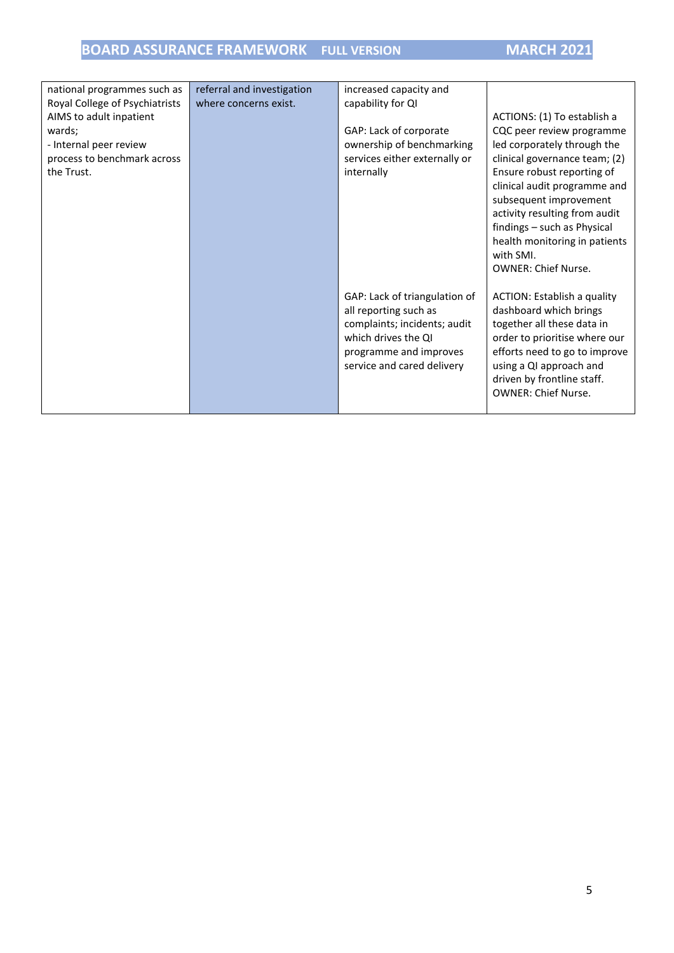| national programmes such as    | referral and investigation | increased capacity and        |                               |
|--------------------------------|----------------------------|-------------------------------|-------------------------------|
| Royal College of Psychiatrists | where concerns exist.      | capability for QI             |                               |
| AIMS to adult inpatient        |                            |                               | ACTIONS: (1) To establish a   |
| wards;                         |                            | GAP: Lack of corporate        | CQC peer review programme     |
| - Internal peer review         |                            | ownership of benchmarking     | led corporately through the   |
| process to benchmark across    |                            | services either externally or | clinical governance team; (2) |
| the Trust.                     |                            | internally                    | Ensure robust reporting of    |
|                                |                            |                               | clinical audit programme and  |
|                                |                            |                               | subsequent improvement        |
|                                |                            |                               | activity resulting from audit |
|                                |                            |                               | findings - such as Physical   |
|                                |                            |                               | health monitoring in patients |
|                                |                            |                               | with SMI.                     |
|                                |                            |                               | <b>OWNER: Chief Nurse.</b>    |
|                                |                            |                               |                               |
|                                |                            | GAP: Lack of triangulation of | ACTION: Establish a quality   |
|                                |                            | all reporting such as         | dashboard which brings        |
|                                |                            | complaints; incidents; audit  | together all these data in    |
|                                |                            | which drives the QI           | order to prioritise where our |
|                                |                            | programme and improves        | efforts need to go to improve |
|                                |                            | service and cared delivery    | using a QI approach and       |
|                                |                            |                               | driven by frontline staff.    |
|                                |                            |                               | <b>OWNER: Chief Nurse.</b>    |
|                                |                            |                               |                               |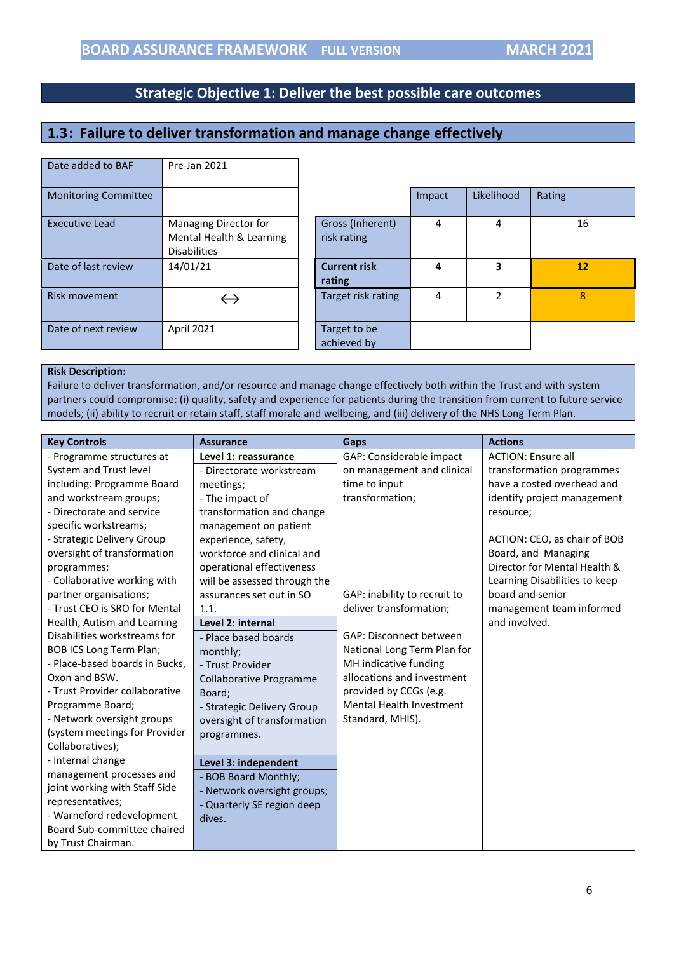# <span id="page-5-0"></span>**1.3: Failure to deliver transformation and manage change effectively**

| Date added to BAF           | Pre-Jan 2021                                                             |                                 |        |                |        |
|-----------------------------|--------------------------------------------------------------------------|---------------------------------|--------|----------------|--------|
| <b>Monitoring Committee</b> |                                                                          |                                 | Impact | Likelihood     | Rating |
| <b>Executive Lead</b>       | Managing Director for<br>Mental Health & Learning<br><b>Disabilities</b> | Gross (Inherent)<br>risk rating | 4      | 4              | 16     |
| Date of last review         | 14/01/21                                                                 | <b>Current risk</b><br>rating   | 4      | 3              | 12     |
| Risk movement               |                                                                          | Target risk rating              | 4      | $\mathfrak{p}$ | 8      |
| Date of next review         | April 2021                                                               | Target to be<br>achieved by     |        |                |        |

#### **Risk Description:**

Failure to deliver transformation, and/or resource and manage change effectively both within the Trust and with system partners could compromise: (i) quality, safety and experience for patients during the transition from current to future service models; (ii) ability to recruit or retain staff, staff morale and wellbeing, and (iii) delivery of the NHS Long Term Plan.

| <b>Key Controls</b>            | <b>Assurance</b>               | Gaps                            | <b>Actions</b>                |
|--------------------------------|--------------------------------|---------------------------------|-------------------------------|
| - Programme structures at      | Level 1: reassurance           | GAP: Considerable impact        | <b>ACTION: Ensure all</b>     |
| System and Trust level         | - Directorate workstream       | on management and clinical      | transformation programmes     |
| including: Programme Board     | meetings;                      | time to input                   | have a costed overhead and    |
| and workstream groups;         | - The impact of                | transformation;                 | identify project management   |
| - Directorate and service      | transformation and change      |                                 | resource;                     |
| specific workstreams;          | management on patient          |                                 |                               |
| - Strategic Delivery Group     | experience, safety,            |                                 | ACTION: CEO, as chair of BOB  |
| oversight of transformation    | workforce and clinical and     |                                 | Board, and Managing           |
| programmes;                    | operational effectiveness      |                                 | Director for Mental Health &  |
| - Collaborative working with   | will be assessed through the   |                                 | Learning Disabilities to keep |
| partner organisations;         | assurances set out in SO       | GAP: inability to recruit to    | board and senior              |
| - Trust CEO is SRO for Mental  | 1.1.                           | deliver transformation;         | management team informed      |
| Health, Autism and Learning    | Level 2: internal              |                                 | and involved.                 |
| Disabilities workstreams for   | - Place based boards           | GAP: Disconnect between         |                               |
| <b>BOB ICS Long Term Plan;</b> | monthly;                       | National Long Term Plan for     |                               |
| - Place-based boards in Bucks, | - Trust Provider               | MH indicative funding           |                               |
| Oxon and BSW.                  | <b>Collaborative Programme</b> | allocations and investment      |                               |
| - Trust Provider collaborative | Board:                         | provided by CCGs (e.g.          |                               |
| Programme Board;               | - Strategic Delivery Group     | <b>Mental Health Investment</b> |                               |
| - Network oversight groups     | oversight of transformation    | Standard, MHIS).                |                               |
| (system meetings for Provider  | programmes.                    |                                 |                               |
| Collaboratives);               |                                |                                 |                               |
| - Internal change              | Level 3: independent           |                                 |                               |
| management processes and       | - BOB Board Monthly;           |                                 |                               |
| joint working with Staff Side  | - Network oversight groups;    |                                 |                               |
| representatives;               | - Quarterly SE region deep     |                                 |                               |
| - Warneford redevelopment      | dives.                         |                                 |                               |
| Board Sub-committee chaired    |                                |                                 |                               |
| by Trust Chairman.             |                                |                                 |                               |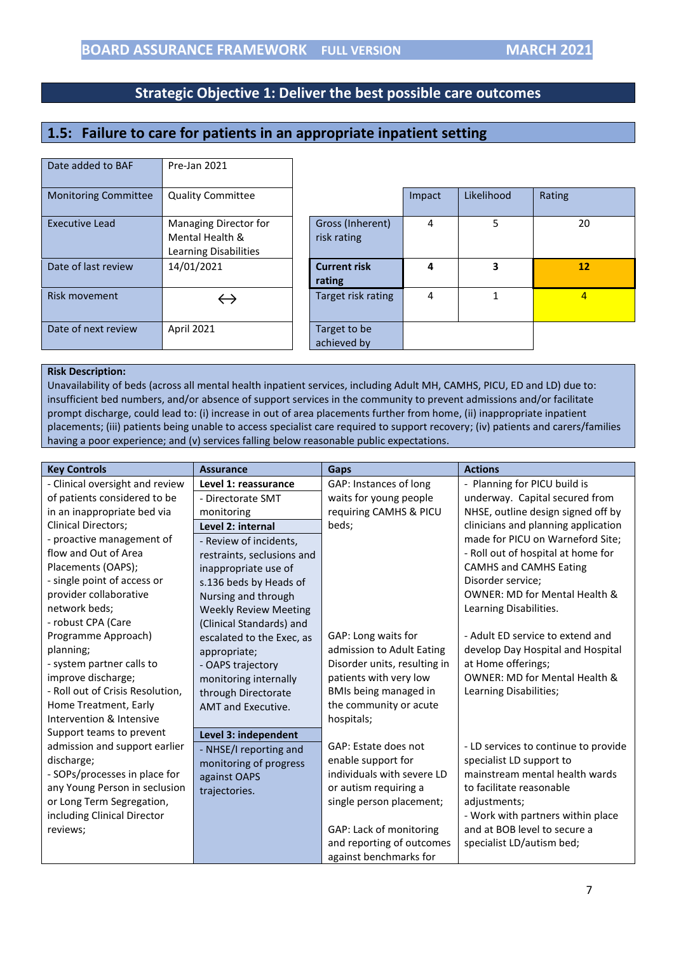## <span id="page-6-0"></span>**1.5: Failure to care for patients in an appropriate inpatient setting**

| Date added to BAF           | Pre-Jan 2021                                                      |                                 |        |            |                |
|-----------------------------|-------------------------------------------------------------------|---------------------------------|--------|------------|----------------|
| <b>Monitoring Committee</b> | <b>Quality Committee</b>                                          |                                 | Impact | Likelihood | Rating         |
| <b>Executive Lead</b>       | Managing Director for<br>Mental Health &<br>Learning Disabilities | Gross (Inherent)<br>risk rating | 4      | 5          | 20             |
| Date of last review         | 14/01/2021                                                        | <b>Current risk</b><br>rating   | 4      | 3          | 12             |
| Risk movement               |                                                                   | Target risk rating              | 4      | 1          | $\overline{4}$ |
| Date of next review         | April 2021                                                        | Target to be<br>achieved by     |        |            |                |

#### **Risk Description:**

Unavailability of beds (across all mental health inpatient services, including Adult MH, CAMHS, PICU, ED and LD) due to: insufficient bed numbers, and/or absence of support services in the community to prevent admissions and/or facilitate prompt discharge, could lead to: (i) increase in out of area placements further from home, (ii) inappropriate inpatient placements; (iii) patients being unable to access specialist care required to support recovery; (iv) patients and carers/families having a poor experience; and (v) services falling below reasonable public expectations.

| <b>Key Controls</b>              | <b>Assurance</b>             | <b>Gaps</b>                  | <b>Actions</b>                           |
|----------------------------------|------------------------------|------------------------------|------------------------------------------|
| - Clinical oversight and review  | Level 1: reassurance         | GAP: Instances of long       | - Planning for PICU build is             |
| of patients considered to be     | - Directorate SMT            | waits for young people       | underway. Capital secured from           |
| in an inappropriate bed via      | monitoring                   | requiring CAMHS & PICU       | NHSE, outline design signed off by       |
| <b>Clinical Directors;</b>       | Level 2: internal            | beds;                        | clinicians and planning application      |
| - proactive management of        | - Review of incidents,       |                              | made for PICU on Warneford Site;         |
| flow and Out of Area             | restraints, seclusions and   |                              | - Roll out of hospital at home for       |
| Placements (OAPS);               | inappropriate use of         |                              | <b>CAMHS and CAMHS Eating</b>            |
| - single point of access or      | s.136 beds by Heads of       |                              | Disorder service;                        |
| provider collaborative           | Nursing and through          |                              | <b>OWNER: MD for Mental Health &amp;</b> |
| network beds;                    | <b>Weekly Review Meeting</b> |                              | Learning Disabilities.                   |
| - robust CPA (Care               | (Clinical Standards) and     |                              |                                          |
| Programme Approach)              | escalated to the Exec, as    | GAP: Long waits for          | - Adult ED service to extend and         |
| planning;                        | appropriate;                 | admission to Adult Eating    | develop Day Hospital and Hospital        |
| - system partner calls to        | - OAPS trajectory            | Disorder units, resulting in | at Home offerings;                       |
| improve discharge;               | monitoring internally        | patients with very low       | <b>OWNER: MD for Mental Health &amp;</b> |
| - Roll out of Crisis Resolution, | through Directorate          | BMIs being managed in        | Learning Disabilities;                   |
| Home Treatment, Early            | AMT and Executive.           | the community or acute       |                                          |
| Intervention & Intensive         |                              | hospitals;                   |                                          |
| Support teams to prevent         | Level 3: independent         |                              |                                          |
| admission and support earlier    | - NHSE/I reporting and       | GAP: Estate does not         | - LD services to continue to provide     |
| discharge;                       | monitoring of progress       | enable support for           | specialist LD support to                 |
| - SOPs/processes in place for    | against OAPS                 | individuals with severe LD   | mainstream mental health wards           |
| any Young Person in seclusion    | trajectories.                | or autism requiring a        | to facilitate reasonable                 |
| or Long Term Segregation,        |                              | single person placement;     | adjustments;                             |
| including Clinical Director      |                              |                              | - Work with partners within place        |
| reviews;                         |                              | GAP: Lack of monitoring      | and at BOB level to secure a             |
|                                  |                              | and reporting of outcomes    | specialist LD/autism bed;                |
|                                  |                              | against benchmarks for       |                                          |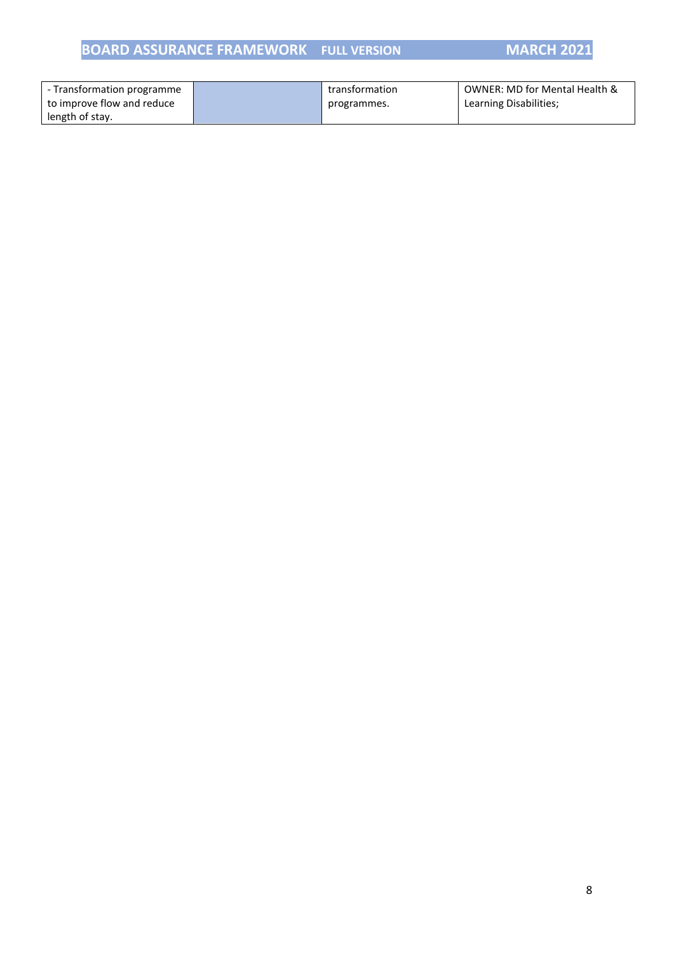# **BOARD ASSURANCE FRAMEWORK FULL VERSION MARCH 2021**

| - Transformation programme | transformation | OWNER: MD for Mental Health & |
|----------------------------|----------------|-------------------------------|
| to improve flow and reduce | programmes.    | Learning Disabilities;        |
| length of stay.            |                |                               |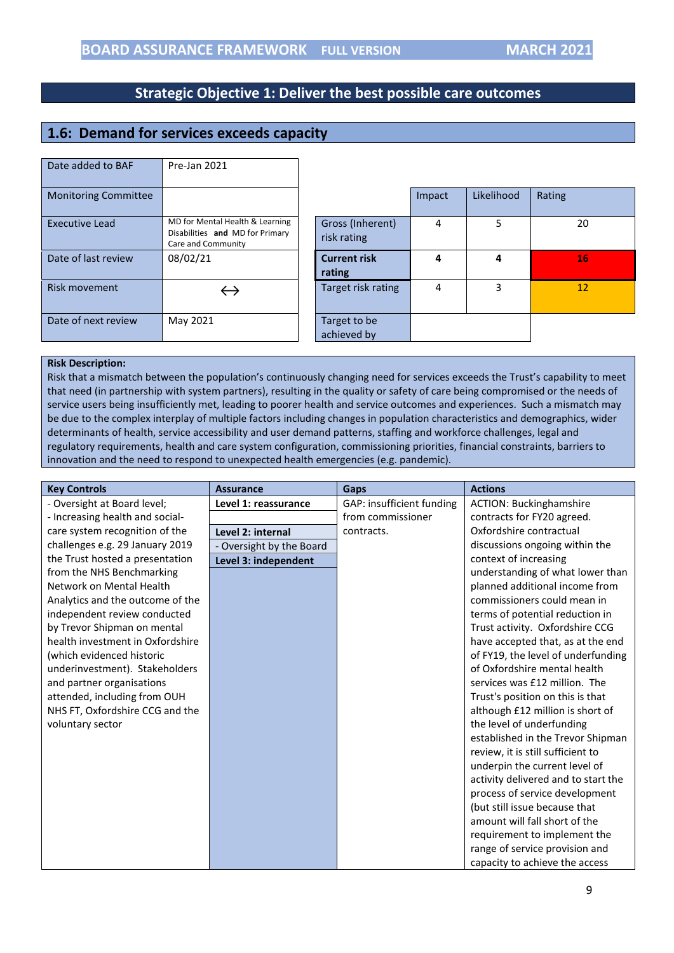# <span id="page-8-0"></span>**1.6: Demand for services exceeds capacity**

| Date added to BAF           | Pre-Jan 2021                                                                             |                                 |        |            |        |
|-----------------------------|------------------------------------------------------------------------------------------|---------------------------------|--------|------------|--------|
| <b>Monitoring Committee</b> |                                                                                          |                                 | Impact | Likelihood | Rating |
| <b>Executive Lead</b>       | MD for Mental Health & Learning<br>Disabilities and MD for Primary<br>Care and Community | Gross (Inherent)<br>risk rating | 4      | 5          | 20     |
| Date of last review         | 08/02/21                                                                                 | <b>Current risk</b><br>rating   | 4      | 4          | 16     |
| Risk movement               | $\hookrightarrow$                                                                        | Target risk rating              | 4      | 3          | 12     |
| Date of next review         | May 2021                                                                                 | Target to be<br>achieved by     |        |            |        |

#### **Risk Description:**

Risk that a mismatch between the population's continuously changing need for services exceeds the Trust's capability to meet that need (in partnership with system partners), resulting in the quality or safety of care being compromised or the needs of service users being insufficiently met, leading to poorer health and service outcomes and experiences. Such a mismatch may be due to the complex interplay of multiple factors including changes in population characteristics and demographics, wider determinants of health, service accessibility and user demand patterns, staffing and workforce challenges, legal and regulatory requirements, health and care system configuration, commissioning priorities, financial constraints, barriers to innovation and the need to respond to unexpected health emergencies (e.g. pandemic).

| <b>Key Controls</b>              | <b>Assurance</b>         | Gaps                      | <b>Actions</b>                      |
|----------------------------------|--------------------------|---------------------------|-------------------------------------|
| - Oversight at Board level;      | Level 1: reassurance     | GAP: insufficient funding | <b>ACTION: Buckinghamshire</b>      |
| - Increasing health and social-  |                          | from commissioner         | contracts for FY20 agreed.          |
| care system recognition of the   | Level 2: internal        | contracts.                | Oxfordshire contractual             |
| challenges e.g. 29 January 2019  | - Oversight by the Board |                           | discussions ongoing within the      |
| the Trust hosted a presentation  | Level 3: independent     |                           | context of increasing               |
| from the NHS Benchmarking        |                          |                           | understanding of what lower than    |
| Network on Mental Health         |                          |                           | planned additional income from      |
| Analytics and the outcome of the |                          |                           | commissioners could mean in         |
| independent review conducted     |                          |                           | terms of potential reduction in     |
| by Trevor Shipman on mental      |                          |                           | Trust activity. Oxfordshire CCG     |
| health investment in Oxfordshire |                          |                           | have accepted that, as at the end   |
| (which evidenced historic        |                          |                           | of FY19, the level of underfunding  |
| underinvestment). Stakeholders   |                          |                           | of Oxfordshire mental health        |
| and partner organisations        |                          |                           | services was £12 million. The       |
| attended, including from OUH     |                          |                           | Trust's position on this is that    |
| NHS FT, Oxfordshire CCG and the  |                          |                           | although £12 million is short of    |
| voluntary sector                 |                          |                           | the level of underfunding           |
|                                  |                          |                           | established in the Trevor Shipman   |
|                                  |                          |                           | review, it is still sufficient to   |
|                                  |                          |                           | underpin the current level of       |
|                                  |                          |                           | activity delivered and to start the |
|                                  |                          |                           | process of service development      |
|                                  |                          |                           | (but still issue because that       |
|                                  |                          |                           | amount will fall short of the       |
|                                  |                          |                           | requirement to implement the        |
|                                  |                          |                           | range of service provision and      |
|                                  |                          |                           | capacity to achieve the access      |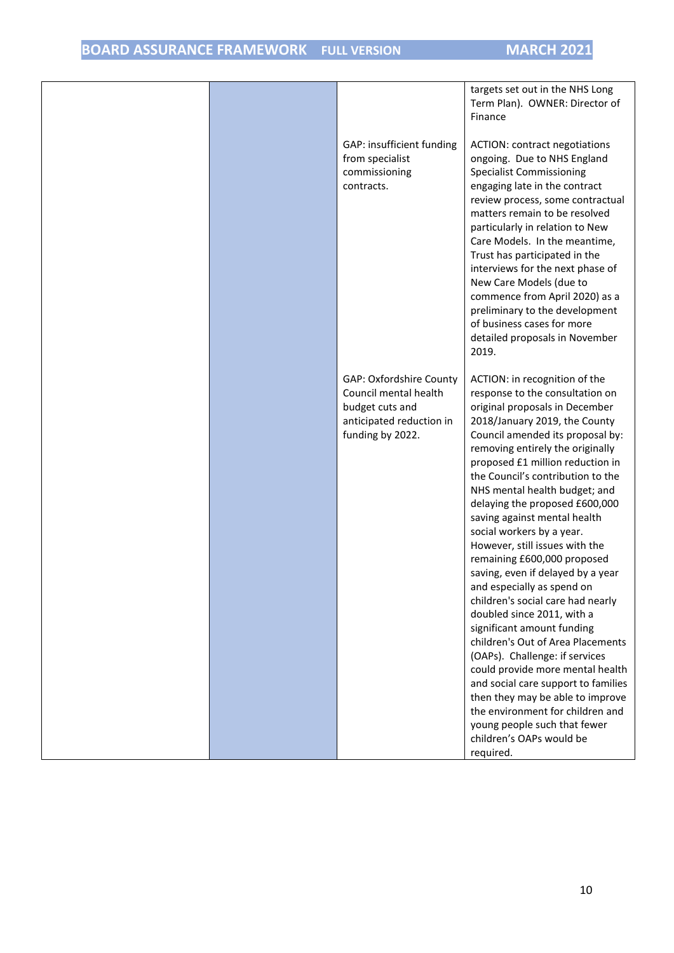|                                                                                                                     | targets set out in the NHS Long<br>Term Plan). OWNER: Director of<br>Finance                                                                                                                                                                                                                                                                                                                                                                                                                                                                                                                                                                                                                                                                                                                                                                                                                                                                                 |
|---------------------------------------------------------------------------------------------------------------------|--------------------------------------------------------------------------------------------------------------------------------------------------------------------------------------------------------------------------------------------------------------------------------------------------------------------------------------------------------------------------------------------------------------------------------------------------------------------------------------------------------------------------------------------------------------------------------------------------------------------------------------------------------------------------------------------------------------------------------------------------------------------------------------------------------------------------------------------------------------------------------------------------------------------------------------------------------------|
|                                                                                                                     |                                                                                                                                                                                                                                                                                                                                                                                                                                                                                                                                                                                                                                                                                                                                                                                                                                                                                                                                                              |
| GAP: insufficient funding<br>from specialist<br>commissioning<br>contracts.                                         | <b>ACTION: contract negotiations</b><br>ongoing. Due to NHS England<br><b>Specialist Commissioning</b><br>engaging late in the contract<br>review process, some contractual<br>matters remain to be resolved<br>particularly in relation to New<br>Care Models. In the meantime,<br>Trust has participated in the<br>interviews for the next phase of<br>New Care Models (due to<br>commence from April 2020) as a<br>preliminary to the development<br>of business cases for more<br>detailed proposals in November<br>2019.                                                                                                                                                                                                                                                                                                                                                                                                                                |
| GAP: Oxfordshire County<br>Council mental health<br>budget cuts and<br>anticipated reduction in<br>funding by 2022. | ACTION: in recognition of the<br>response to the consultation on<br>original proposals in December<br>2018/January 2019, the County<br>Council amended its proposal by:<br>removing entirely the originally<br>proposed £1 million reduction in<br>the Council's contribution to the<br>NHS mental health budget; and<br>delaying the proposed £600,000<br>saving against mental health<br>social workers by a year.<br>However, still issues with the<br>remaining £600,000 proposed<br>saving, even if delayed by a year<br>and especially as spend on<br>children's social care had nearly<br>doubled since 2011, with a<br>significant amount funding<br>children's Out of Area Placements<br>(OAPs). Challenge: if services<br>could provide more mental health<br>and social care support to families<br>then they may be able to improve<br>the environment for children and<br>young people such that fewer<br>children's OAPs would be<br>required. |
|                                                                                                                     |                                                                                                                                                                                                                                                                                                                                                                                                                                                                                                                                                                                                                                                                                                                                                                                                                                                                                                                                                              |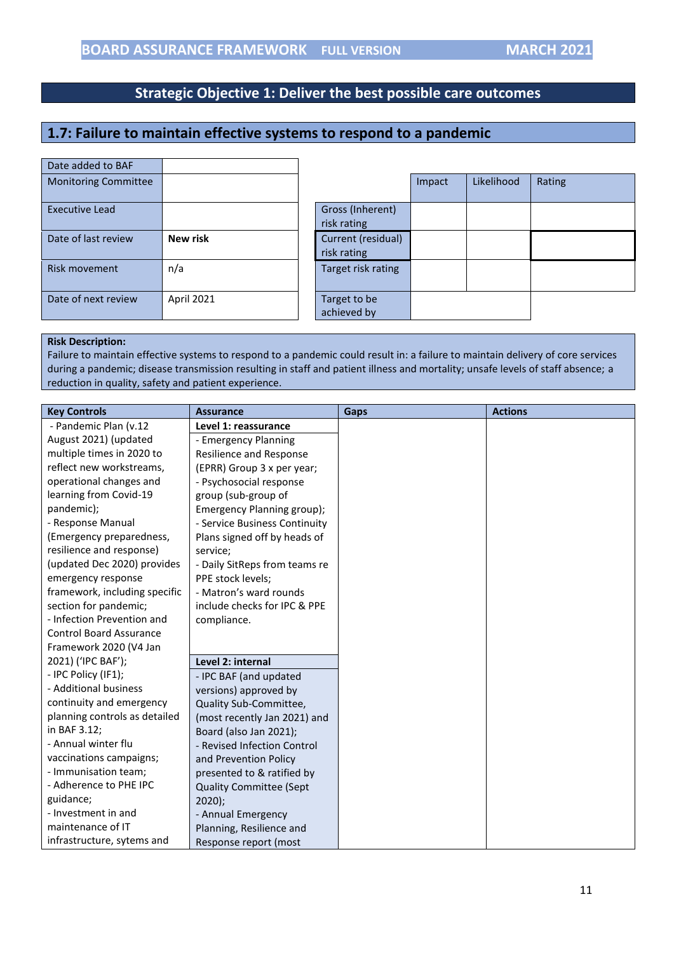# <span id="page-10-0"></span>**1.7: Failure to maintain effective systems to respond to a pandemic**

| Date added to BAF           |                 |                                   |        |            |        |
|-----------------------------|-----------------|-----------------------------------|--------|------------|--------|
| <b>Monitoring Committee</b> |                 |                                   | Impact | Likelihood | Rating |
| Executive Lead              |                 | Gross (Inherent)<br>risk rating   |        |            |        |
| Date of last review         | <b>New risk</b> | Current (residual)<br>risk rating |        |            |        |
| Risk movement               | n/a             | Target risk rating                |        |            |        |
| Date of next review         | April 2021      | Target to be<br>achieved by       |        |            |        |

#### **Risk Description:**

Failure to maintain effective systems to respond to a pandemic could result in: a failure to maintain delivery of core services during a pandemic; disease transmission resulting in staff and patient illness and mortality; unsafe levels of staff absence; a reduction in quality, safety and patient experience.

| <b>Key Controls</b>            | <b>Assurance</b>               | <b>Gaps</b> |
|--------------------------------|--------------------------------|-------------|
| - Pandemic Plan (v.12          | Level 1: reassurance           |             |
| August 2021) (updated          | - Emergency Planning           |             |
| multiple times in 2020 to      | <b>Resilience and Response</b> |             |
| reflect new workstreams,       | (EPRR) Group 3 x per year;     |             |
| operational changes and        | - Psychosocial response        |             |
| learning from Covid-19         | group (sub-group of            |             |
| pandemic);                     | Emergency Planning group);     |             |
| - Response Manual              | - Service Business Continuity  |             |
| (Emergency preparedness,       | Plans signed off by heads of   |             |
| resilience and response)       | service;                       |             |
| (updated Dec 2020) provides    | - Daily SitReps from teams re  |             |
| emergency response             | PPE stock levels;              |             |
| framework, including specific  | - Matron's ward rounds         |             |
| section for pandemic;          | include checks for IPC & PPE   |             |
| - Infection Prevention and     | compliance.                    |             |
| <b>Control Board Assurance</b> |                                |             |
| Framework 2020 (V4 Jan         |                                |             |
| 2021) ('IPC BAF');             | Level 2: internal              |             |
| - IPC Policy (IF1);            | - IPC BAF (and updated         |             |
| - Additional business          | versions) approved by          |             |
| continuity and emergency       | Quality Sub-Committee,         |             |
| planning controls as detailed  | (most recently Jan 2021) and   |             |
| in BAF 3.12;                   | Board (also Jan 2021);         |             |
| - Annual winter flu            | - Revised Infection Control    |             |
| vaccinations campaigns;        | and Prevention Policy          |             |
| - Immunisation team;           | presented to & ratified by     |             |
| - Adherence to PHE IPC         | <b>Quality Committee (Sept</b> |             |
| guidance;                      | $2020$ );                      |             |
| - Investment in and            | - Annual Emergency             |             |
| maintenance of IT              | Planning, Resilience and       |             |
| infrastructure, sytems and     | Response report (most          |             |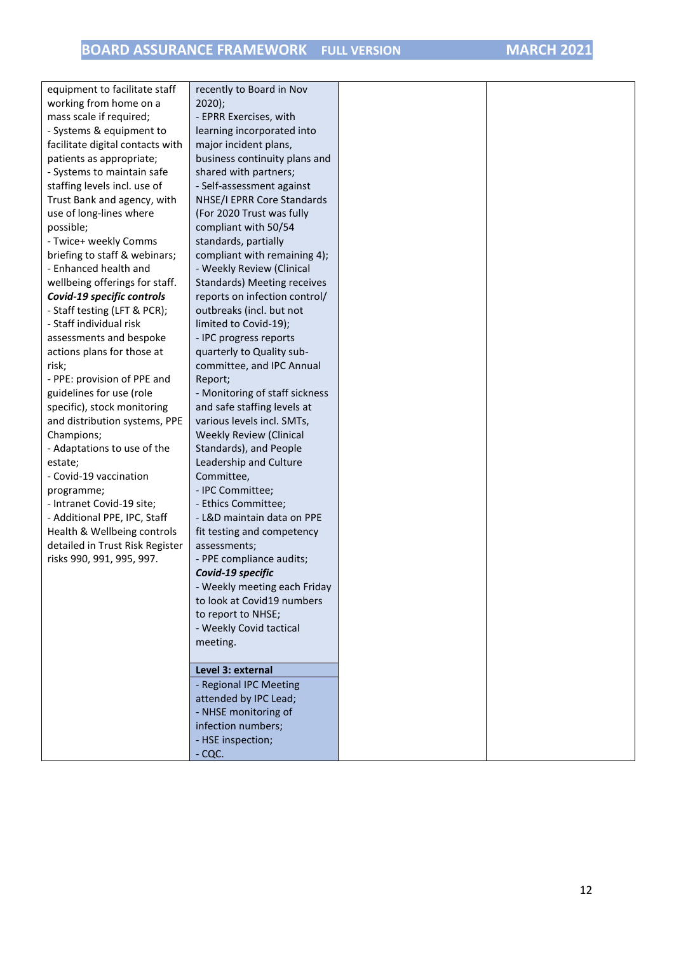| equipment to facilitate staff    | recently to Board in Nov          |  |
|----------------------------------|-----------------------------------|--|
| working from home on a           | $2020$ ;                          |  |
| mass scale if required;          | - EPRR Exercises, with            |  |
| - Systems & equipment to         | learning incorporated into        |  |
| facilitate digital contacts with | major incident plans,             |  |
| patients as appropriate;         | business continuity plans and     |  |
| - Systems to maintain safe       | shared with partners;             |  |
| staffing levels incl. use of     | - Self-assessment against         |  |
| Trust Bank and agency, with      | NHSE/I EPRR Core Standards        |  |
| use of long-lines where          | (For 2020 Trust was fully         |  |
| possible;                        | compliant with 50/54              |  |
| - Twice+ weekly Comms            | standards, partially              |  |
| briefing to staff & webinars;    | compliant with remaining 4);      |  |
| - Enhanced health and            | - Weekly Review (Clinical         |  |
| wellbeing offerings for staff.   | Standards) Meeting receives       |  |
| Covid-19 specific controls       | reports on infection control/     |  |
| - Staff testing (LFT & PCR);     | outbreaks (incl. but not          |  |
| - Staff individual risk          | limited to Covid-19);             |  |
| assessments and bespoke          | - IPC progress reports            |  |
| actions plans for those at       | quarterly to Quality sub-         |  |
| risk;                            | committee, and IPC Annual         |  |
| - PPE: provision of PPE and      | Report;                           |  |
| guidelines for use (role         | - Monitoring of staff sickness    |  |
| specific), stock monitoring      | and safe staffing levels at       |  |
| and distribution systems, PPE    | various levels incl. SMTs,        |  |
| Champions;                       | <b>Weekly Review (Clinical</b>    |  |
| - Adaptations to use of the      | Standards), and People            |  |
| estate;                          | Leadership and Culture            |  |
| - Covid-19 vaccination           | Committee,                        |  |
| programme;                       | - IPC Committee;                  |  |
| - Intranet Covid-19 site;        | - Ethics Committee;               |  |
| - Additional PPE, IPC, Staff     | - L&D maintain data on PPE        |  |
| Health & Wellbeing controls      | fit testing and competency        |  |
| detailed in Trust Risk Register  | assessments;                      |  |
| risks 990, 991, 995, 997.        | - PPE compliance audits;          |  |
|                                  | Covid-19 specific                 |  |
|                                  | <b>Weekly meeting each Friday</b> |  |
|                                  | to look at Covid19 numbers        |  |
|                                  | to report to NHSE;                |  |
|                                  | - Weekly Covid tactical           |  |
|                                  | meeting.                          |  |
|                                  |                                   |  |
|                                  | Level 3: external                 |  |
|                                  | - Regional IPC Meeting            |  |
|                                  | attended by IPC Lead;             |  |
|                                  | - NHSE monitoring of              |  |
|                                  | infection numbers;                |  |
|                                  | - HSE inspection;                 |  |
|                                  | $-CQC.$                           |  |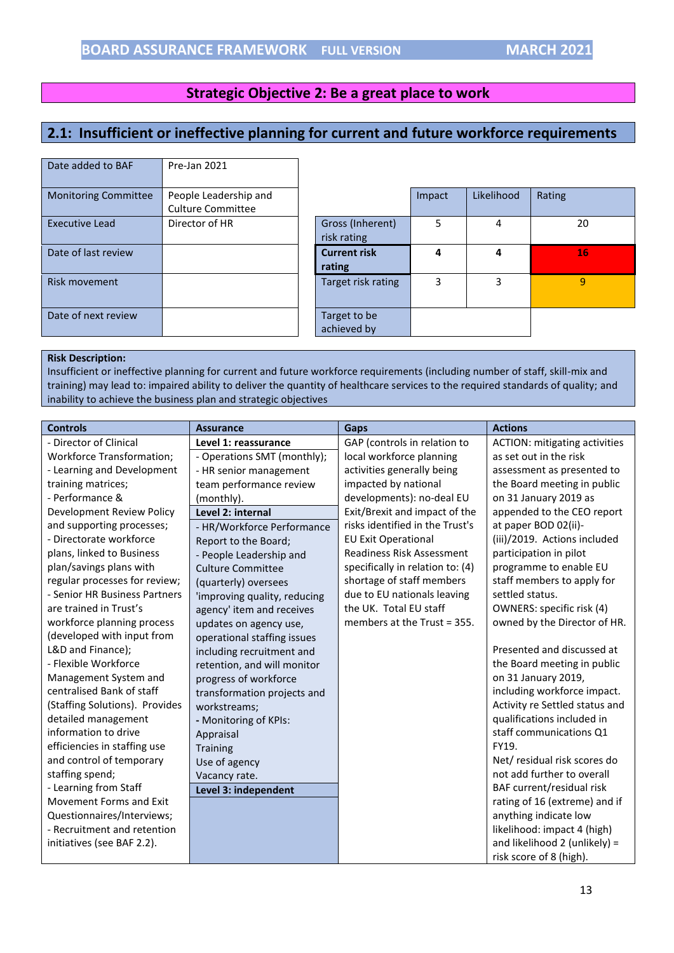#### **Strategic Objective 2: Be a great place to work**

# <span id="page-12-0"></span>**2.1: Insufficient or ineffective planning for current and future workforce requirements**

| Date added to BAF           | Pre-Jan 2021                                      |                                 |
|-----------------------------|---------------------------------------------------|---------------------------------|
| <b>Monitoring Committee</b> | People Leadership and<br><b>Culture Committee</b> |                                 |
| <b>Executive Lead</b>       | Director of HR                                    | Gross (Inherent)<br>risk rating |
| Date of last review         |                                                   | <b>Current risk</b><br>rating   |
| Risk movement               |                                                   | Target risk rating              |
| Date of next review         |                                                   | Target to be<br>achieved by     |

| <b>Monitoring Committee</b> | People Leadership and    |                     | Impact | Likelihood | Rating    |
|-----------------------------|--------------------------|---------------------|--------|------------|-----------|
|                             | <b>Culture Committee</b> |                     |        |            |           |
| <b>Executive Lead</b>       | Director of HR           | Gross (Inherent)    | 5      |            | 20        |
|                             |                          | risk rating         |        |            |           |
| Date of last review         |                          | <b>Current risk</b> | 4      | 4          | <b>16</b> |
|                             |                          | rating              |        |            |           |
| <b>Risk movement</b>        |                          | Target risk rating  | 3      | 3          | 9         |
|                             |                          |                     |        |            |           |
| Date of next review         |                          |                     |        |            |           |
|                             |                          | Target to be        |        |            |           |
|                             |                          | achieved by         |        |            |           |

#### **Risk Description:**

Insufficient or ineffective planning for current and future workforce requirements (including number of staff, skill-mix and training) may lead to: impaired ability to deliver the quantity of healthcare services to the required standards of quality; and inability to achieve the business plan and strategic objectives

| <b>Controls</b>                  | <b>Assurance</b>             | Gaps                             | <b>Actions</b>                       |
|----------------------------------|------------------------------|----------------------------------|--------------------------------------|
| - Director of Clinical           | Level 1: reassurance         | GAP (controls in relation to     | <b>ACTION: mitigating activities</b> |
| <b>Workforce Transformation;</b> | - Operations SMT (monthly);  | local workforce planning         | as set out in the risk               |
| - Learning and Development       | - HR senior management       | activities generally being       | assessment as presented to           |
| training matrices;               | team performance review      | impacted by national             | the Board meeting in public          |
| - Performance &                  | (monthly).                   | developments): no-deal EU        | on 31 January 2019 as                |
| Development Review Policy        | Level 2: internal            | Exit/Brexit and impact of the    | appended to the CEO report           |
| and supporting processes;        | - HR/Workforce Performance   | risks identified in the Trust's  | at paper BOD 02(ii)-                 |
| - Directorate workforce          | Report to the Board;         | <b>EU Exit Operational</b>       | (iii)/2019. Actions included         |
| plans, linked to Business        | - People Leadership and      | <b>Readiness Risk Assessment</b> | participation in pilot               |
| plan/savings plans with          | <b>Culture Committee</b>     | specifically in relation to: (4) | programme to enable EU               |
| regular processes for review;    | (quarterly) oversees         | shortage of staff members        | staff members to apply for           |
| - Senior HR Business Partners    | 'improving quality, reducing | due to EU nationals leaving      | settled status.                      |
| are trained in Trust's           | agency' item and receives    | the UK. Total EU staff           | OWNERS: specific risk (4)            |
| workforce planning process       | updates on agency use,       | members at the Trust $=$ 355.    | owned by the Director of HR.         |
| (developed with input from       | operational staffing issues  |                                  |                                      |
| L&D and Finance);                | including recruitment and    |                                  | Presented and discussed at           |
| - Flexible Workforce             | retention, and will monitor  |                                  | the Board meeting in public          |
| Management System and            | progress of workforce        |                                  | on 31 January 2019,                  |
| centralised Bank of staff        | transformation projects and  |                                  | including workforce impact.          |
| (Staffing Solutions). Provides   | workstreams;                 |                                  | Activity re Settled status and       |
| detailed management              | - Monitoring of KPIs:        |                                  | qualifications included in           |
| information to drive             | Appraisal                    |                                  | staff communications Q1              |
| efficiencies in staffing use     | <b>Training</b>              |                                  | FY19.                                |
| and control of temporary         | Use of agency                |                                  | Net/ residual risk scores do         |
| staffing spend;                  | Vacancy rate.                |                                  | not add further to overall           |
| - Learning from Staff            | Level 3: independent         |                                  | BAF current/residual risk            |
| Movement Forms and Exit          |                              |                                  | rating of 16 (extreme) and if        |
| Questionnaires/Interviews;       |                              |                                  | anything indicate low                |
| - Recruitment and retention      |                              |                                  | likelihood: impact 4 (high)          |
| initiatives (see BAF 2.2).       |                              |                                  | and likelihood 2 (unlikely) =        |
|                                  |                              |                                  | risk score of 8 (high).              |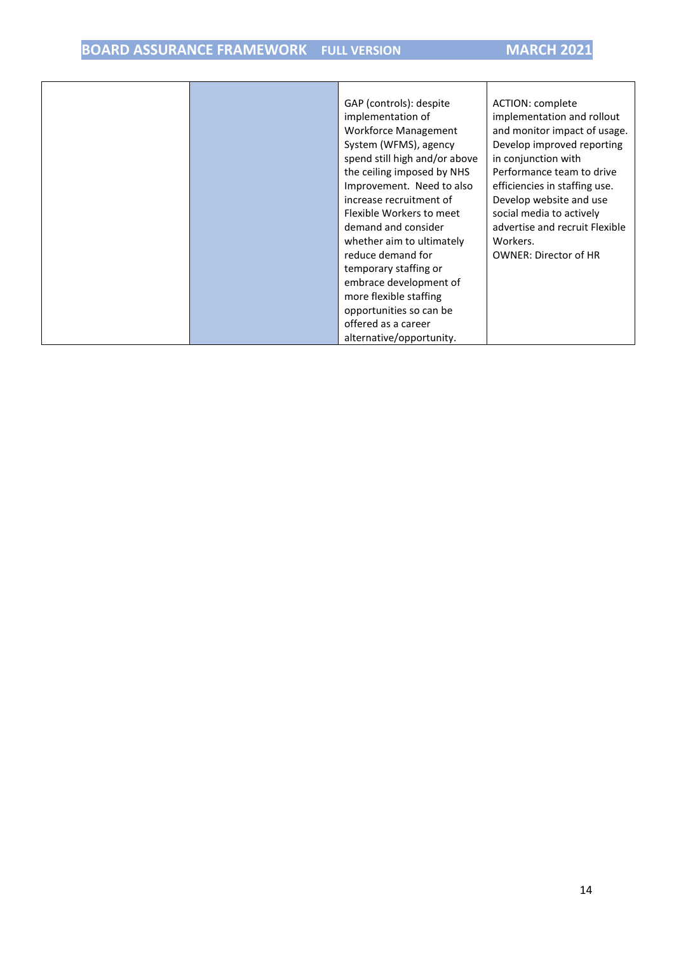# **BOARD ASSURANCE FRAMEWORK FULL VERSION MARCH 2021**

|  | GAP (controls): despite       | ACTION: complete               |
|--|-------------------------------|--------------------------------|
|  | implementation of             | implementation and rollout     |
|  | <b>Workforce Management</b>   | and monitor impact of usage.   |
|  | System (WFMS), agency         | Develop improved reporting     |
|  | spend still high and/or above | in conjunction with            |
|  | the ceiling imposed by NHS    | Performance team to drive      |
|  | Improvement. Need to also     | efficiencies in staffing use.  |
|  | increase recruitment of       | Develop website and use        |
|  | Flexible Workers to meet      | social media to actively       |
|  | demand and consider           | advertise and recruit Flexible |
|  | whether aim to ultimately     | Workers.                       |
|  | reduce demand for             | <b>OWNER: Director of HR</b>   |
|  | temporary staffing or         |                                |
|  | embrace development of        |                                |
|  | more flexible staffing        |                                |
|  | opportunities so can be       |                                |
|  | offered as a career           |                                |
|  | alternative/opportunity.      |                                |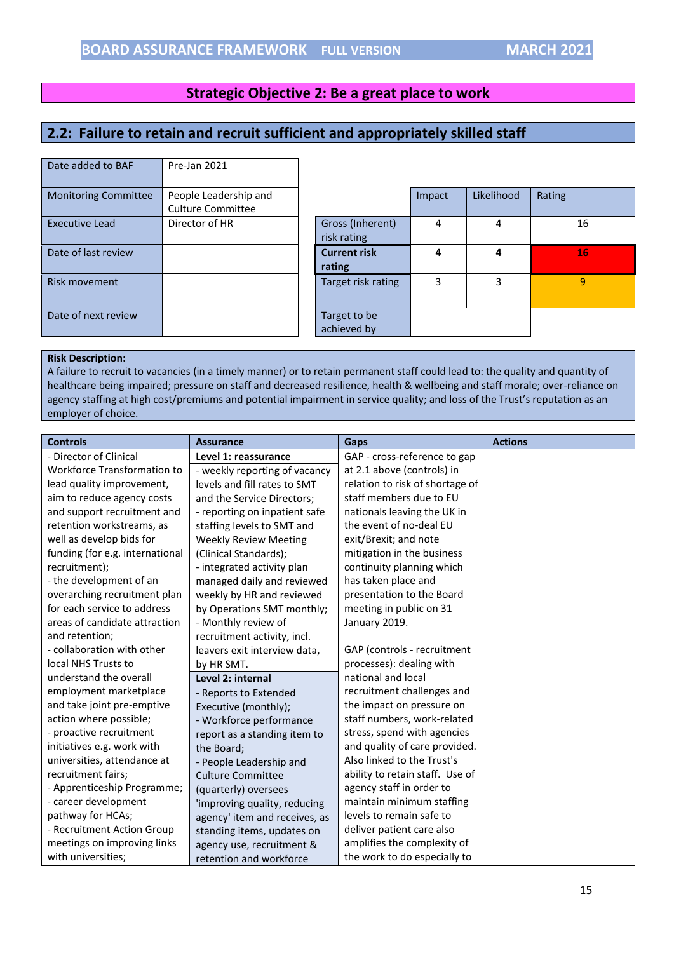#### <span id="page-14-0"></span>**Strategic Objective 2: Be a great place to work**

## **2.2: Failure to retain and recruit sufficient and appropriately skilled staff**

| Date added to BAF           | Pre-Jan 2021                                      |                                 |        |            |        |
|-----------------------------|---------------------------------------------------|---------------------------------|--------|------------|--------|
| <b>Monitoring Committee</b> | People Leadership and<br><b>Culture Committee</b> |                                 | Impact | Likelihood | Rating |
| Executive Lead              | Director of HR                                    | Gross (Inherent)<br>risk rating | 4      | 4          | 16     |
| Date of last review         |                                                   | <b>Current risk</b><br>rating   | 4      | 4          | 16     |
| Risk movement               |                                                   | Target risk rating              | 3      | 3          | 9      |
| Date of next review         |                                                   | Target to be<br>achieved by     |        |            |        |

#### **Risk Description:**

A failure to recruit to vacancies (in a timely manner) or to retain permanent staff could lead to: the quality and quantity of healthcare being impaired; pressure on staff and decreased resilience, health & wellbeing and staff morale; over-reliance on agency staffing at high cost/premiums and potential impairment in service quality; and loss of the Trust's reputation as an employer of choice.

| <b>Controls</b>                 | <b>Assurance</b>              | Gaps                            | <b>Actions</b> |
|---------------------------------|-------------------------------|---------------------------------|----------------|
| - Director of Clinical          | Level 1: reassurance          | GAP - cross-reference to gap    |                |
| Workforce Transformation to     | - weekly reporting of vacancy | at 2.1 above (controls) in      |                |
| lead quality improvement,       | levels and fill rates to SMT  | relation to risk of shortage of |                |
| aim to reduce agency costs      | and the Service Directors;    | staff members due to EU         |                |
| and support recruitment and     | - reporting on inpatient safe | nationals leaving the UK in     |                |
| retention workstreams, as       | staffing levels to SMT and    | the event of no-deal EU         |                |
| well as develop bids for        | <b>Weekly Review Meeting</b>  | exit/Brexit; and note           |                |
| funding (for e.g. international | (Clinical Standards);         | mitigation in the business      |                |
| recruitment);                   | - integrated activity plan    | continuity planning which       |                |
| - the development of an         | managed daily and reviewed    | has taken place and             |                |
| overarching recruitment plan    | weekly by HR and reviewed     | presentation to the Board       |                |
| for each service to address     | by Operations SMT monthly;    | meeting in public on 31         |                |
| areas of candidate attraction   | - Monthly review of           | January 2019.                   |                |
| and retention;                  | recruitment activity, incl.   |                                 |                |
| - collaboration with other      | leavers exit interview data,  | GAP (controls - recruitment     |                |
| local NHS Trusts to             | by HR SMT.                    | processes): dealing with        |                |
| understand the overall          | Level 2: internal             | national and local              |                |
| employment marketplace          | - Reports to Extended         | recruitment challenges and      |                |
| and take joint pre-emptive      | Executive (monthly);          | the impact on pressure on       |                |
| action where possible;          | - Workforce performance       | staff numbers, work-related     |                |
| - proactive recruitment         | report as a standing item to  | stress, spend with agencies     |                |
| initiatives e.g. work with      | the Board;                    | and quality of care provided.   |                |
| universities, attendance at     | - People Leadership and       | Also linked to the Trust's      |                |
| recruitment fairs;              | <b>Culture Committee</b>      | ability to retain staff. Use of |                |
| - Apprenticeship Programme;     | (quarterly) oversees          | agency staff in order to        |                |
| - career development            | 'improving quality, reducing  | maintain minimum staffing       |                |
| pathway for HCAs;               | agency' item and receives, as | levels to remain safe to        |                |
| - Recruitment Action Group      | standing items, updates on    | deliver patient care also       |                |
| meetings on improving links     | agency use, recruitment &     | amplifies the complexity of     |                |
| with universities;              | retention and workforce       | the work to do especially to    |                |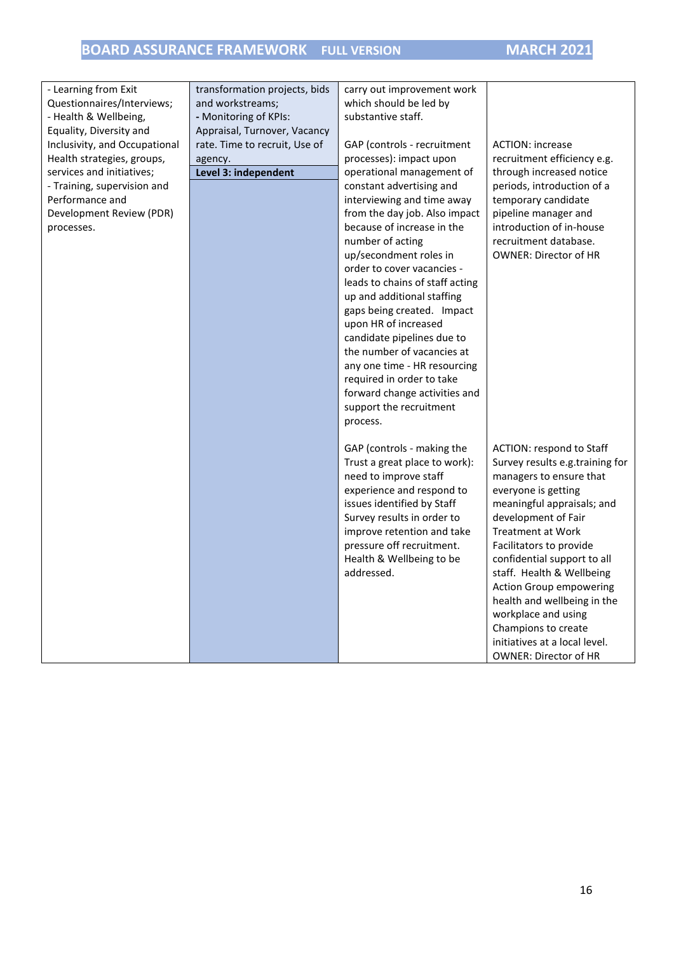# **BOARD ASSURANCE FRAMEWORK FULL VERSION MARCH 2021**

| - Learning from Exit<br>transformation projects, bids<br>carry out improvement work<br>Questionnaires/Interviews;<br>and workstreams;<br>which should be led by<br>substantive staff.<br>- Health & Wellbeing,<br>- Monitoring of KPIs:<br>Equality, Diversity and<br>Appraisal, Turnover, Vacancy<br>Inclusivity, and Occupational<br>rate. Time to recruit, Use of<br>GAP (controls - recruitment<br><b>ACTION: increase</b><br>recruitment efficiency e.g.<br>Health strategies, groups,<br>processes): impact upon<br>agency.<br>services and initiatives;<br>Level 3: independent<br>operational management of<br>through increased notice<br>- Training, supervision and<br>constant advertising and<br>periods, introduction of a<br>Performance and<br>temporary candidate<br>interviewing and time away<br>Development Review (PDR)<br>from the day job. Also impact<br>pipeline manager and<br>because of increase in the<br>introduction of in-house<br>processes.<br>number of acting<br>recruitment database.<br>up/secondment roles in<br><b>OWNER: Director of HR</b><br>order to cover vacancies -<br>leads to chains of staff acting<br>up and additional staffing<br>gaps being created. Impact<br>upon HR of increased<br>candidate pipelines due to<br>the number of vacancies at<br>any one time - HR resourcing<br>required in order to take<br>forward change activities and<br>support the recruitment<br>process.<br><b>ACTION: respond to Staff</b><br>GAP (controls - making the<br>Trust a great place to work):<br>Survey results e.g.training for<br>need to improve staff<br>managers to ensure that<br>experience and respond to<br>everyone is getting<br>issues identified by Staff<br>meaningful appraisals; and<br>development of Fair<br>Survey results in order to<br>improve retention and take<br><b>Treatment at Work</b><br>pressure off recruitment.<br>Facilitators to provide<br>Health & Wellbeing to be<br>confidential support to all<br>addressed.<br>staff. Health & Wellbeing<br>Action Group empowering<br>health and wellbeing in the<br>workplace and using<br>Champions to create<br>initiatives at a local level. |  |  |
|---------------------------------------------------------------------------------------------------------------------------------------------------------------------------------------------------------------------------------------------------------------------------------------------------------------------------------------------------------------------------------------------------------------------------------------------------------------------------------------------------------------------------------------------------------------------------------------------------------------------------------------------------------------------------------------------------------------------------------------------------------------------------------------------------------------------------------------------------------------------------------------------------------------------------------------------------------------------------------------------------------------------------------------------------------------------------------------------------------------------------------------------------------------------------------------------------------------------------------------------------------------------------------------------------------------------------------------------------------------------------------------------------------------------------------------------------------------------------------------------------------------------------------------------------------------------------------------------------------------------------------------------------------------------------------------------------------------------------------------------------------------------------------------------------------------------------------------------------------------------------------------------------------------------------------------------------------------------------------------------------------------------------------------------------------------------------------------------------------------------------------------------------------------------------|--|--|
|                                                                                                                                                                                                                                                                                                                                                                                                                                                                                                                                                                                                                                                                                                                                                                                                                                                                                                                                                                                                                                                                                                                                                                                                                                                                                                                                                                                                                                                                                                                                                                                                                                                                                                                                                                                                                                                                                                                                                                                                                                                                                                                                                                           |  |  |
|                                                                                                                                                                                                                                                                                                                                                                                                                                                                                                                                                                                                                                                                                                                                                                                                                                                                                                                                                                                                                                                                                                                                                                                                                                                                                                                                                                                                                                                                                                                                                                                                                                                                                                                                                                                                                                                                                                                                                                                                                                                                                                                                                                           |  |  |
|                                                                                                                                                                                                                                                                                                                                                                                                                                                                                                                                                                                                                                                                                                                                                                                                                                                                                                                                                                                                                                                                                                                                                                                                                                                                                                                                                                                                                                                                                                                                                                                                                                                                                                                                                                                                                                                                                                                                                                                                                                                                                                                                                                           |  |  |
|                                                                                                                                                                                                                                                                                                                                                                                                                                                                                                                                                                                                                                                                                                                                                                                                                                                                                                                                                                                                                                                                                                                                                                                                                                                                                                                                                                                                                                                                                                                                                                                                                                                                                                                                                                                                                                                                                                                                                                                                                                                                                                                                                                           |  |  |
|                                                                                                                                                                                                                                                                                                                                                                                                                                                                                                                                                                                                                                                                                                                                                                                                                                                                                                                                                                                                                                                                                                                                                                                                                                                                                                                                                                                                                                                                                                                                                                                                                                                                                                                                                                                                                                                                                                                                                                                                                                                                                                                                                                           |  |  |
|                                                                                                                                                                                                                                                                                                                                                                                                                                                                                                                                                                                                                                                                                                                                                                                                                                                                                                                                                                                                                                                                                                                                                                                                                                                                                                                                                                                                                                                                                                                                                                                                                                                                                                                                                                                                                                                                                                                                                                                                                                                                                                                                                                           |  |  |
|                                                                                                                                                                                                                                                                                                                                                                                                                                                                                                                                                                                                                                                                                                                                                                                                                                                                                                                                                                                                                                                                                                                                                                                                                                                                                                                                                                                                                                                                                                                                                                                                                                                                                                                                                                                                                                                                                                                                                                                                                                                                                                                                                                           |  |  |
|                                                                                                                                                                                                                                                                                                                                                                                                                                                                                                                                                                                                                                                                                                                                                                                                                                                                                                                                                                                                                                                                                                                                                                                                                                                                                                                                                                                                                                                                                                                                                                                                                                                                                                                                                                                                                                                                                                                                                                                                                                                                                                                                                                           |  |  |
|                                                                                                                                                                                                                                                                                                                                                                                                                                                                                                                                                                                                                                                                                                                                                                                                                                                                                                                                                                                                                                                                                                                                                                                                                                                                                                                                                                                                                                                                                                                                                                                                                                                                                                                                                                                                                                                                                                                                                                                                                                                                                                                                                                           |  |  |
|                                                                                                                                                                                                                                                                                                                                                                                                                                                                                                                                                                                                                                                                                                                                                                                                                                                                                                                                                                                                                                                                                                                                                                                                                                                                                                                                                                                                                                                                                                                                                                                                                                                                                                                                                                                                                                                                                                                                                                                                                                                                                                                                                                           |  |  |
|                                                                                                                                                                                                                                                                                                                                                                                                                                                                                                                                                                                                                                                                                                                                                                                                                                                                                                                                                                                                                                                                                                                                                                                                                                                                                                                                                                                                                                                                                                                                                                                                                                                                                                                                                                                                                                                                                                                                                                                                                                                                                                                                                                           |  |  |
|                                                                                                                                                                                                                                                                                                                                                                                                                                                                                                                                                                                                                                                                                                                                                                                                                                                                                                                                                                                                                                                                                                                                                                                                                                                                                                                                                                                                                                                                                                                                                                                                                                                                                                                                                                                                                                                                                                                                                                                                                                                                                                                                                                           |  |  |
|                                                                                                                                                                                                                                                                                                                                                                                                                                                                                                                                                                                                                                                                                                                                                                                                                                                                                                                                                                                                                                                                                                                                                                                                                                                                                                                                                                                                                                                                                                                                                                                                                                                                                                                                                                                                                                                                                                                                                                                                                                                                                                                                                                           |  |  |
|                                                                                                                                                                                                                                                                                                                                                                                                                                                                                                                                                                                                                                                                                                                                                                                                                                                                                                                                                                                                                                                                                                                                                                                                                                                                                                                                                                                                                                                                                                                                                                                                                                                                                                                                                                                                                                                                                                                                                                                                                                                                                                                                                                           |  |  |
|                                                                                                                                                                                                                                                                                                                                                                                                                                                                                                                                                                                                                                                                                                                                                                                                                                                                                                                                                                                                                                                                                                                                                                                                                                                                                                                                                                                                                                                                                                                                                                                                                                                                                                                                                                                                                                                                                                                                                                                                                                                                                                                                                                           |  |  |
|                                                                                                                                                                                                                                                                                                                                                                                                                                                                                                                                                                                                                                                                                                                                                                                                                                                                                                                                                                                                                                                                                                                                                                                                                                                                                                                                                                                                                                                                                                                                                                                                                                                                                                                                                                                                                                                                                                                                                                                                                                                                                                                                                                           |  |  |
|                                                                                                                                                                                                                                                                                                                                                                                                                                                                                                                                                                                                                                                                                                                                                                                                                                                                                                                                                                                                                                                                                                                                                                                                                                                                                                                                                                                                                                                                                                                                                                                                                                                                                                                                                                                                                                                                                                                                                                                                                                                                                                                                                                           |  |  |
|                                                                                                                                                                                                                                                                                                                                                                                                                                                                                                                                                                                                                                                                                                                                                                                                                                                                                                                                                                                                                                                                                                                                                                                                                                                                                                                                                                                                                                                                                                                                                                                                                                                                                                                                                                                                                                                                                                                                                                                                                                                                                                                                                                           |  |  |
|                                                                                                                                                                                                                                                                                                                                                                                                                                                                                                                                                                                                                                                                                                                                                                                                                                                                                                                                                                                                                                                                                                                                                                                                                                                                                                                                                                                                                                                                                                                                                                                                                                                                                                                                                                                                                                                                                                                                                                                                                                                                                                                                                                           |  |  |
|                                                                                                                                                                                                                                                                                                                                                                                                                                                                                                                                                                                                                                                                                                                                                                                                                                                                                                                                                                                                                                                                                                                                                                                                                                                                                                                                                                                                                                                                                                                                                                                                                                                                                                                                                                                                                                                                                                                                                                                                                                                                                                                                                                           |  |  |
|                                                                                                                                                                                                                                                                                                                                                                                                                                                                                                                                                                                                                                                                                                                                                                                                                                                                                                                                                                                                                                                                                                                                                                                                                                                                                                                                                                                                                                                                                                                                                                                                                                                                                                                                                                                                                                                                                                                                                                                                                                                                                                                                                                           |  |  |
|                                                                                                                                                                                                                                                                                                                                                                                                                                                                                                                                                                                                                                                                                                                                                                                                                                                                                                                                                                                                                                                                                                                                                                                                                                                                                                                                                                                                                                                                                                                                                                                                                                                                                                                                                                                                                                                                                                                                                                                                                                                                                                                                                                           |  |  |
|                                                                                                                                                                                                                                                                                                                                                                                                                                                                                                                                                                                                                                                                                                                                                                                                                                                                                                                                                                                                                                                                                                                                                                                                                                                                                                                                                                                                                                                                                                                                                                                                                                                                                                                                                                                                                                                                                                                                                                                                                                                                                                                                                                           |  |  |
|                                                                                                                                                                                                                                                                                                                                                                                                                                                                                                                                                                                                                                                                                                                                                                                                                                                                                                                                                                                                                                                                                                                                                                                                                                                                                                                                                                                                                                                                                                                                                                                                                                                                                                                                                                                                                                                                                                                                                                                                                                                                                                                                                                           |  |  |
|                                                                                                                                                                                                                                                                                                                                                                                                                                                                                                                                                                                                                                                                                                                                                                                                                                                                                                                                                                                                                                                                                                                                                                                                                                                                                                                                                                                                                                                                                                                                                                                                                                                                                                                                                                                                                                                                                                                                                                                                                                                                                                                                                                           |  |  |
|                                                                                                                                                                                                                                                                                                                                                                                                                                                                                                                                                                                                                                                                                                                                                                                                                                                                                                                                                                                                                                                                                                                                                                                                                                                                                                                                                                                                                                                                                                                                                                                                                                                                                                                                                                                                                                                                                                                                                                                                                                                                                                                                                                           |  |  |
|                                                                                                                                                                                                                                                                                                                                                                                                                                                                                                                                                                                                                                                                                                                                                                                                                                                                                                                                                                                                                                                                                                                                                                                                                                                                                                                                                                                                                                                                                                                                                                                                                                                                                                                                                                                                                                                                                                                                                                                                                                                                                                                                                                           |  |  |
|                                                                                                                                                                                                                                                                                                                                                                                                                                                                                                                                                                                                                                                                                                                                                                                                                                                                                                                                                                                                                                                                                                                                                                                                                                                                                                                                                                                                                                                                                                                                                                                                                                                                                                                                                                                                                                                                                                                                                                                                                                                                                                                                                                           |  |  |
|                                                                                                                                                                                                                                                                                                                                                                                                                                                                                                                                                                                                                                                                                                                                                                                                                                                                                                                                                                                                                                                                                                                                                                                                                                                                                                                                                                                                                                                                                                                                                                                                                                                                                                                                                                                                                                                                                                                                                                                                                                                                                                                                                                           |  |  |
|                                                                                                                                                                                                                                                                                                                                                                                                                                                                                                                                                                                                                                                                                                                                                                                                                                                                                                                                                                                                                                                                                                                                                                                                                                                                                                                                                                                                                                                                                                                                                                                                                                                                                                                                                                                                                                                                                                                                                                                                                                                                                                                                                                           |  |  |
|                                                                                                                                                                                                                                                                                                                                                                                                                                                                                                                                                                                                                                                                                                                                                                                                                                                                                                                                                                                                                                                                                                                                                                                                                                                                                                                                                                                                                                                                                                                                                                                                                                                                                                                                                                                                                                                                                                                                                                                                                                                                                                                                                                           |  |  |
|                                                                                                                                                                                                                                                                                                                                                                                                                                                                                                                                                                                                                                                                                                                                                                                                                                                                                                                                                                                                                                                                                                                                                                                                                                                                                                                                                                                                                                                                                                                                                                                                                                                                                                                                                                                                                                                                                                                                                                                                                                                                                                                                                                           |  |  |
|                                                                                                                                                                                                                                                                                                                                                                                                                                                                                                                                                                                                                                                                                                                                                                                                                                                                                                                                                                                                                                                                                                                                                                                                                                                                                                                                                                                                                                                                                                                                                                                                                                                                                                                                                                                                                                                                                                                                                                                                                                                                                                                                                                           |  |  |
|                                                                                                                                                                                                                                                                                                                                                                                                                                                                                                                                                                                                                                                                                                                                                                                                                                                                                                                                                                                                                                                                                                                                                                                                                                                                                                                                                                                                                                                                                                                                                                                                                                                                                                                                                                                                                                                                                                                                                                                                                                                                                                                                                                           |  |  |
|                                                                                                                                                                                                                                                                                                                                                                                                                                                                                                                                                                                                                                                                                                                                                                                                                                                                                                                                                                                                                                                                                                                                                                                                                                                                                                                                                                                                                                                                                                                                                                                                                                                                                                                                                                                                                                                                                                                                                                                                                                                                                                                                                                           |  |  |
|                                                                                                                                                                                                                                                                                                                                                                                                                                                                                                                                                                                                                                                                                                                                                                                                                                                                                                                                                                                                                                                                                                                                                                                                                                                                                                                                                                                                                                                                                                                                                                                                                                                                                                                                                                                                                                                                                                                                                                                                                                                                                                                                                                           |  |  |
|                                                                                                                                                                                                                                                                                                                                                                                                                                                                                                                                                                                                                                                                                                                                                                                                                                                                                                                                                                                                                                                                                                                                                                                                                                                                                                                                                                                                                                                                                                                                                                                                                                                                                                                                                                                                                                                                                                                                                                                                                                                                                                                                                                           |  |  |
|                                                                                                                                                                                                                                                                                                                                                                                                                                                                                                                                                                                                                                                                                                                                                                                                                                                                                                                                                                                                                                                                                                                                                                                                                                                                                                                                                                                                                                                                                                                                                                                                                                                                                                                                                                                                                                                                                                                                                                                                                                                                                                                                                                           |  |  |
|                                                                                                                                                                                                                                                                                                                                                                                                                                                                                                                                                                                                                                                                                                                                                                                                                                                                                                                                                                                                                                                                                                                                                                                                                                                                                                                                                                                                                                                                                                                                                                                                                                                                                                                                                                                                                                                                                                                                                                                                                                                                                                                                                                           |  |  |
|                                                                                                                                                                                                                                                                                                                                                                                                                                                                                                                                                                                                                                                                                                                                                                                                                                                                                                                                                                                                                                                                                                                                                                                                                                                                                                                                                                                                                                                                                                                                                                                                                                                                                                                                                                                                                                                                                                                                                                                                                                                                                                                                                                           |  |  |
|                                                                                                                                                                                                                                                                                                                                                                                                                                                                                                                                                                                                                                                                                                                                                                                                                                                                                                                                                                                                                                                                                                                                                                                                                                                                                                                                                                                                                                                                                                                                                                                                                                                                                                                                                                                                                                                                                                                                                                                                                                                                                                                                                                           |  |  |
|                                                                                                                                                                                                                                                                                                                                                                                                                                                                                                                                                                                                                                                                                                                                                                                                                                                                                                                                                                                                                                                                                                                                                                                                                                                                                                                                                                                                                                                                                                                                                                                                                                                                                                                                                                                                                                                                                                                                                                                                                                                                                                                                                                           |  |  |
| <b>OWNER: Director of HR</b>                                                                                                                                                                                                                                                                                                                                                                                                                                                                                                                                                                                                                                                                                                                                                                                                                                                                                                                                                                                                                                                                                                                                                                                                                                                                                                                                                                                                                                                                                                                                                                                                                                                                                                                                                                                                                                                                                                                                                                                                                                                                                                                                              |  |  |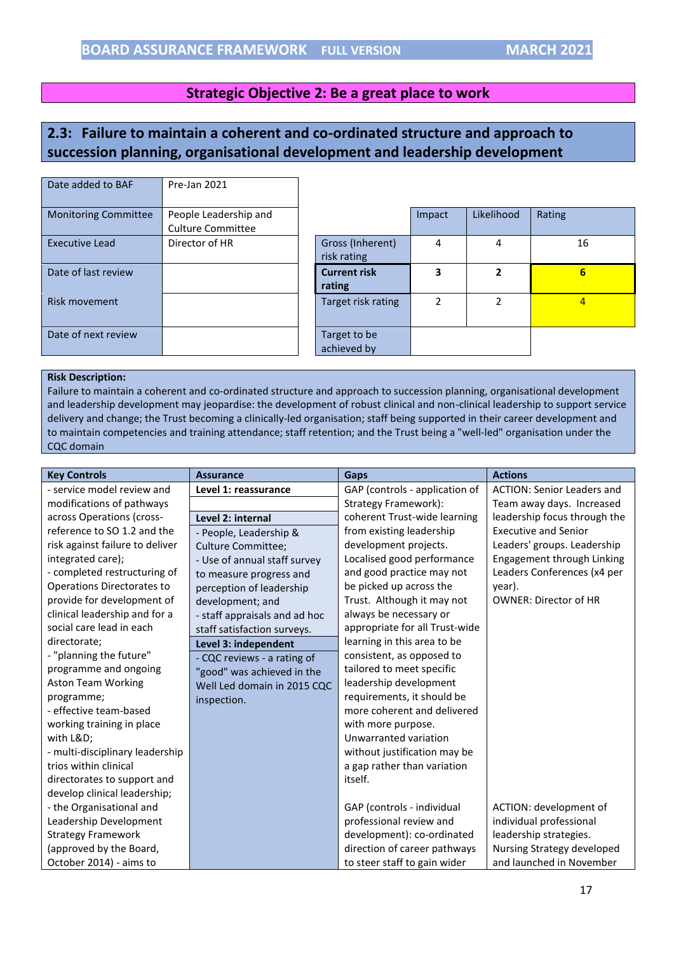#### **Strategic Objective 2: Be a great place to work**

# <span id="page-16-0"></span>**2.3: Failure to maintain a coherent and co-ordinated structure and approach to succession planning, organisational development and leadership development**

| Date added to BAF           | Pre-Jan 2021                                      |                                 |        |            |                |
|-----------------------------|---------------------------------------------------|---------------------------------|--------|------------|----------------|
| <b>Monitoring Committee</b> | People Leadership and<br><b>Culture Committee</b> |                                 | Impact | Likelihood | Rating         |
| <b>Executive Lead</b>       | Director of HR                                    | Gross (Inherent)<br>risk rating | 4      | 4          | 16             |
| Date of last review         |                                                   | <b>Current risk</b><br>rating   | 3      | 2          | 6              |
| Risk movement               |                                                   | Target risk rating              | 2      | 2          | $\overline{4}$ |
| Date of next review         |                                                   | Target to be<br>achieved by     |        |            |                |

#### **Risk Description:**

Failure to maintain a coherent and co-ordinated structure and approach to succession planning, organisational development and leadership development may jeopardise: the development of robust clinical and non-clinical leadership to support service delivery and change; the Trust becoming a clinically-led organisation; staff being supported in their career development and to maintain competencies and training attendance; staff retention; and the Trust being a "well-led" organisation under the CQC domain

| <b>Key Controls</b>             | <b>Assurance</b>              | Gaps                           | <b>Actions</b>                    |
|---------------------------------|-------------------------------|--------------------------------|-----------------------------------|
| - service model review and      | Level 1: reassurance          | GAP (controls - application of | <b>ACTION: Senior Leaders and</b> |
| modifications of pathways       |                               | Strategy Framework):           | Team away days. Increased         |
| across Operations (cross-       | Level 2: internal             | coherent Trust-wide learning   | leadership focus through the      |
| reference to SO 1.2 and the     | - People, Leadership &        | from existing leadership       | <b>Executive and Senior</b>       |
| risk against failure to deliver | <b>Culture Committee;</b>     | development projects.          | Leaders' groups. Leadership       |
| integrated care);               | - Use of annual staff survey  | Localised good performance     | Engagement through Linking        |
| - completed restructuring of    | to measure progress and       | and good practice may not      | Leaders Conferences (x4 per       |
| Operations Directorates to      | perception of leadership      | be picked up across the        | year).                            |
| provide for development of      | development; and              | Trust. Although it may not     | <b>OWNER: Director of HR</b>      |
| clinical leadership and for a   | - staff appraisals and ad hoc | always be necessary or         |                                   |
| social care lead in each        | staff satisfaction surveys.   | appropriate for all Trust-wide |                                   |
| directorate;                    | Level 3: independent          | learning in this area to be    |                                   |
| - "planning the future"         | - CQC reviews - a rating of   | consistent, as opposed to      |                                   |
| programme and ongoing           | "good" was achieved in the    | tailored to meet specific      |                                   |
| <b>Aston Team Working</b>       | Well Led domain in 2015 CQC   | leadership development         |                                   |
| programme;                      | inspection.                   | requirements, it should be     |                                   |
| - effective team-based          |                               | more coherent and delivered    |                                   |
| working training in place       |                               | with more purpose.             |                                   |
| with L&D                        |                               | Unwarranted variation          |                                   |
| - multi-disciplinary leadership |                               | without justification may be   |                                   |
| trios within clinical           |                               | a gap rather than variation    |                                   |
| directorates to support and     |                               | itself.                        |                                   |
| develop clinical leadership;    |                               |                                |                                   |
| - the Organisational and        |                               | GAP (controls - individual     | ACTION: development of            |
| Leadership Development          |                               | professional review and        | individual professional           |
| <b>Strategy Framework</b>       |                               | development): co-ordinated     | leadership strategies.            |
| (approved by the Board,         |                               | direction of career pathways   | Nursing Strategy developed        |
| October 2014) - aims to         |                               | to steer staff to gain wider   | and launched in November          |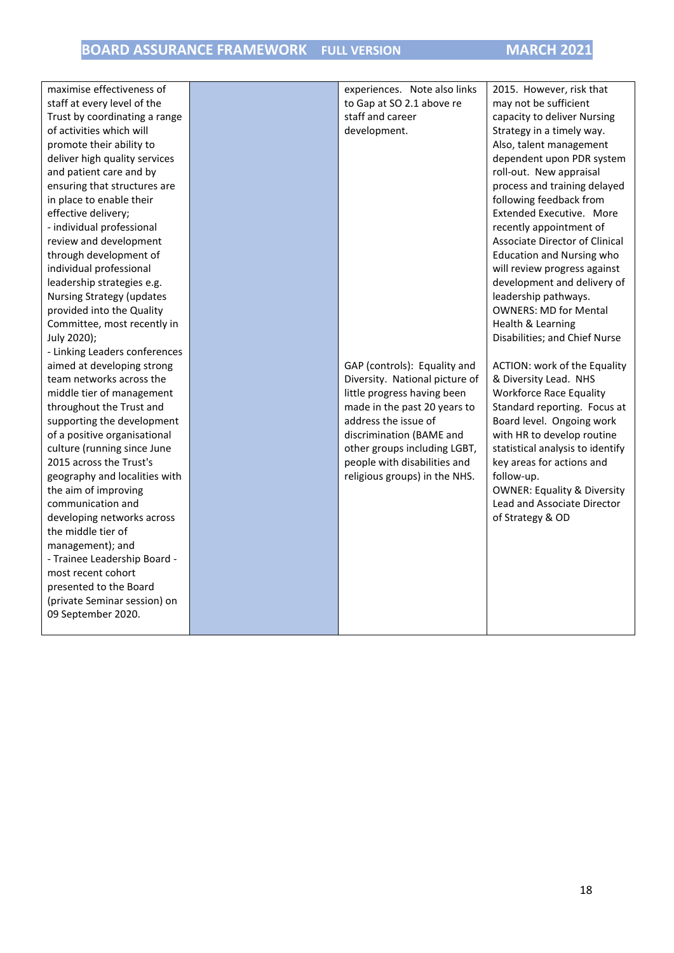# **BOARD ASSURANCE FRAMEWORK FULL VERSION MARCH 2021**

| maximise effectiveness of        | experiences. Note also links   | 2015. However, risk that               |
|----------------------------------|--------------------------------|----------------------------------------|
| staff at every level of the      | to Gap at SO 2.1 above re      | may not be sufficient                  |
| Trust by coordinating a range    | staff and career               | capacity to deliver Nursing            |
| of activities which will         | development.                   | Strategy in a timely way.              |
| promote their ability to         |                                | Also, talent management                |
| deliver high quality services    |                                | dependent upon PDR system              |
| and patient care and by          |                                | roll-out. New appraisal                |
| ensuring that structures are     |                                | process and training delayed           |
| in place to enable their         |                                | following feedback from                |
| effective delivery;              |                                | Extended Executive. More               |
| - individual professional        |                                | recently appointment of                |
| review and development           |                                | <b>Associate Director of Clinical</b>  |
| through development of           |                                | <b>Education and Nursing who</b>       |
| individual professional          |                                | will review progress against           |
| leadership strategies e.g.       |                                | development and delivery of            |
| <b>Nursing Strategy (updates</b> |                                | leadership pathways.                   |
| provided into the Quality        |                                | <b>OWNERS: MD for Mental</b>           |
| Committee, most recently in      |                                | Health & Learning                      |
| July 2020);                      |                                | Disabilities; and Chief Nurse          |
| - Linking Leaders conferences    |                                |                                        |
| aimed at developing strong       | GAP (controls): Equality and   | ACTION: work of the Equality           |
| team networks across the         | Diversity. National picture of | & Diversity Lead. NHS                  |
| middle tier of management        | little progress having been    | <b>Workforce Race Equality</b>         |
| throughout the Trust and         | made in the past 20 years to   | Standard reporting. Focus at           |
| supporting the development       | address the issue of           | Board level. Ongoing work              |
| of a positive organisational     | discrimination (BAME and       | with HR to develop routine             |
| culture (running since June      | other groups including LGBT,   | statistical analysis to identify       |
| 2015 across the Trust's          | people with disabilities and   | key areas for actions and              |
| geography and localities with    | religious groups) in the NHS.  | follow-up.                             |
| the aim of improving             |                                | <b>OWNER: Equality &amp; Diversity</b> |
| communication and                |                                | Lead and Associate Director            |
| developing networks across       |                                | of Strategy & OD                       |
| the middle tier of               |                                |                                        |
| management); and                 |                                |                                        |
| - Trainee Leadership Board -     |                                |                                        |
| most recent cohort               |                                |                                        |
| presented to the Board           |                                |                                        |
| (private Seminar session) on     |                                |                                        |
| 09 September 2020.               |                                |                                        |
|                                  |                                |                                        |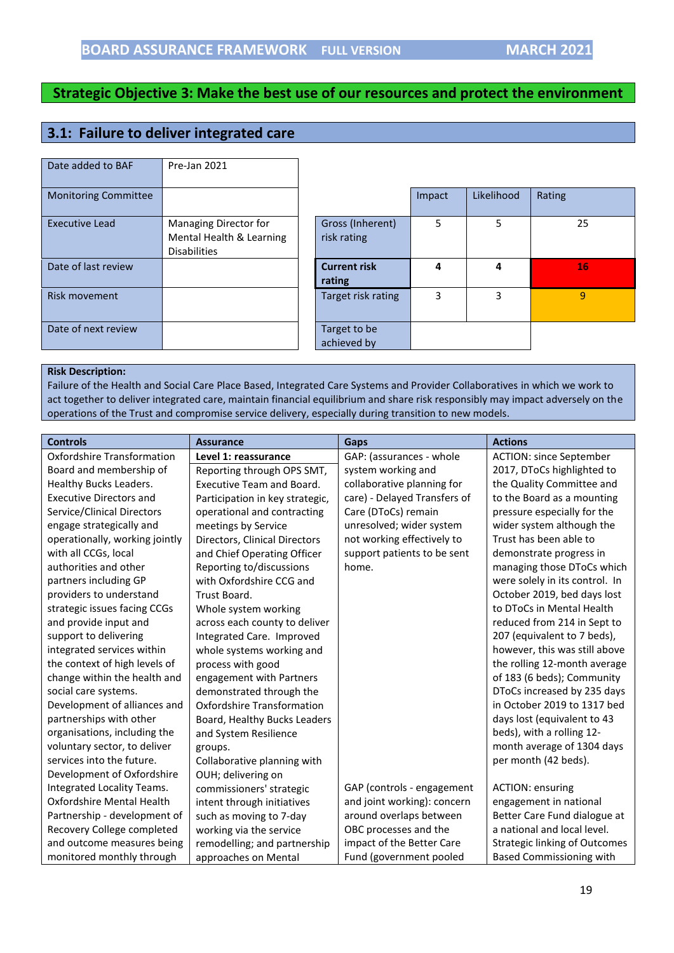## <span id="page-18-0"></span>**3.1: Failure to deliver integrated care**

| Date added to BAF           | Pre-Jan 2021                                                             |                                 |        |            |        |
|-----------------------------|--------------------------------------------------------------------------|---------------------------------|--------|------------|--------|
| <b>Monitoring Committee</b> |                                                                          |                                 | Impact | Likelihood | Rating |
| <b>Executive Lead</b>       | Managing Director for<br>Mental Health & Learning<br><b>Disabilities</b> | Gross (Inherent)<br>risk rating | 5      | 5          | 25     |
| Date of last review         |                                                                          | <b>Current risk</b><br>rating   | 4      | 4          | 16     |
| <b>Risk movement</b>        |                                                                          | Target risk rating              | 3      | 3          | 9      |
| Date of next review         |                                                                          | Target to be<br>achieved by     |        |            |        |

#### **Risk Description:**

Failure of the Health and Social Care Place Based, Integrated Care Systems and Provider Collaboratives in which we work to act together to deliver integrated care, maintain financial equilibrium and share risk responsibly may impact adversely on the operations of the Trust and compromise service delivery, especially during transition to new models.

| <b>Controls</b>                | <b>Assurance</b>                  | Gaps                         | <b>Actions</b>                       |
|--------------------------------|-----------------------------------|------------------------------|--------------------------------------|
| Oxfordshire Transformation     | Level 1: reassurance              | GAP: (assurances - whole     | <b>ACTION: since September</b>       |
| Board and membership of        | Reporting through OPS SMT,        | system working and           | 2017, DToCs highlighted to           |
| Healthy Bucks Leaders.         | Executive Team and Board.         | collaborative planning for   | the Quality Committee and            |
| <b>Executive Directors and</b> | Participation in key strategic,   | care) - Delayed Transfers of | to the Board as a mounting           |
| Service/Clinical Directors     | operational and contracting       | Care (DToCs) remain          | pressure especially for the          |
| engage strategically and       | meetings by Service               | unresolved; wider system     | wider system although the            |
| operationally, working jointly | Directors, Clinical Directors     | not working effectively to   | Trust has been able to               |
| with all CCGs, local           | and Chief Operating Officer       | support patients to be sent  | demonstrate progress in              |
| authorities and other          | Reporting to/discussions          | home.                        | managing those DToCs which           |
| partners including GP          | with Oxfordshire CCG and          |                              | were solely in its control. In       |
| providers to understand        | Trust Board.                      |                              | October 2019, bed days lost          |
| strategic issues facing CCGs   | Whole system working              |                              | to DToCs in Mental Health            |
| and provide input and          | across each county to deliver     |                              | reduced from 214 in Sept to          |
| support to delivering          | Integrated Care. Improved         |                              | 207 (equivalent to 7 beds),          |
| integrated services within     | whole systems working and         |                              | however, this was still above        |
| the context of high levels of  | process with good                 |                              | the rolling 12-month average         |
| change within the health and   | engagement with Partners          |                              | of 183 (6 beds); Community           |
| social care systems.           | demonstrated through the          |                              | DToCs increased by 235 days          |
| Development of alliances and   | <b>Oxfordshire Transformation</b> |                              | in October 2019 to 1317 bed          |
| partnerships with other        | Board, Healthy Bucks Leaders      |                              | days lost (equivalent to 43          |
| organisations, including the   | and System Resilience             |                              | beds), with a rolling 12-            |
| voluntary sector, to deliver   | groups.                           |                              | month average of 1304 days           |
| services into the future.      | Collaborative planning with       |                              | per month (42 beds).                 |
| Development of Oxfordshire     | OUH; delivering on                |                              |                                      |
| Integrated Locality Teams.     | commissioners' strategic          | GAP (controls - engagement   | <b>ACTION: ensuring</b>              |
| Oxfordshire Mental Health      | intent through initiatives        | and joint working): concern  | engagement in national               |
| Partnership - development of   | such as moving to 7-day           | around overlaps between      | Better Care Fund dialogue at         |
| Recovery College completed     | working via the service           | OBC processes and the        | a national and local level.          |
| and outcome measures being     | remodelling; and partnership      | impact of the Better Care    | <b>Strategic linking of Outcomes</b> |
| monitored monthly through      | approaches on Mental              | Fund (government pooled      | <b>Based Commissioning with</b>      |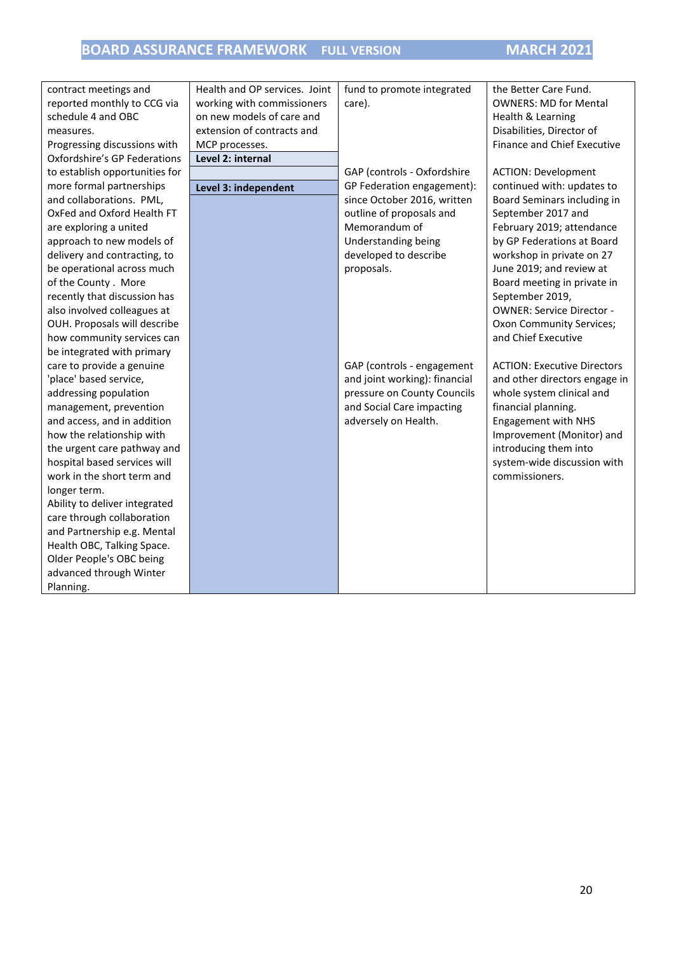| contract meetings and               | Health and OP services. Joint | fund to promote integrated    | the Better Care Fund.              |
|-------------------------------------|-------------------------------|-------------------------------|------------------------------------|
| reported monthly to CCG via         | working with commissioners    | care).                        | <b>OWNERS: MD for Mental</b>       |
| schedule 4 and OBC                  | on new models of care and     |                               | Health & Learning                  |
| measures.                           | extension of contracts and    |                               | Disabilities, Director of          |
| Progressing discussions with        | MCP processes.                |                               | <b>Finance and Chief Executive</b> |
| <b>Oxfordshire's GP Federations</b> | Level 2: internal             |                               |                                    |
| to establish opportunities for      |                               | GAP (controls - Oxfordshire   | <b>ACTION: Development</b>         |
| more formal partnerships            | Level 3: independent          | GP Federation engagement):    | continued with: updates to         |
| and collaborations. PML,            |                               | since October 2016, written   | Board Seminars including in        |
| OxFed and Oxford Health FT          |                               | outline of proposals and      | September 2017 and                 |
| are exploring a united              |                               | Memorandum of                 | February 2019; attendance          |
| approach to new models of           |                               | Understanding being           | by GP Federations at Board         |
| delivery and contracting, to        |                               | developed to describe         | workshop in private on 27          |
| be operational across much          |                               | proposals.                    | June 2019; and review at           |
| of the County. More                 |                               |                               | Board meeting in private in        |
| recently that discussion has        |                               |                               | September 2019,                    |
| also involved colleagues at         |                               |                               | <b>OWNER: Service Director -</b>   |
| OUH. Proposals will describe        |                               |                               | Oxon Community Services;           |
| how community services can          |                               |                               | and Chief Executive                |
| be integrated with primary          |                               |                               |                                    |
| care to provide a genuine           |                               | GAP (controls - engagement    | <b>ACTION: Executive Directors</b> |
| 'place' based service,              |                               | and joint working): financial | and other directors engage in      |
| addressing population               |                               | pressure on County Councils   | whole system clinical and          |
| management, prevention              |                               | and Social Care impacting     | financial planning.                |
| and access, and in addition         |                               | adversely on Health.          | <b>Engagement with NHS</b>         |
| how the relationship with           |                               |                               | Improvement (Monitor) and          |
| the urgent care pathway and         |                               |                               | introducing them into              |
| hospital based services will        |                               |                               | system-wide discussion with        |
| work in the short term and          |                               |                               | commissioners.                     |
| longer term.                        |                               |                               |                                    |
| Ability to deliver integrated       |                               |                               |                                    |
| care through collaboration          |                               |                               |                                    |
| and Partnership e.g. Mental         |                               |                               |                                    |
| Health OBC, Talking Space.          |                               |                               |                                    |
| Older People's OBC being            |                               |                               |                                    |
| advanced through Winter             |                               |                               |                                    |
| Planning.                           |                               |                               |                                    |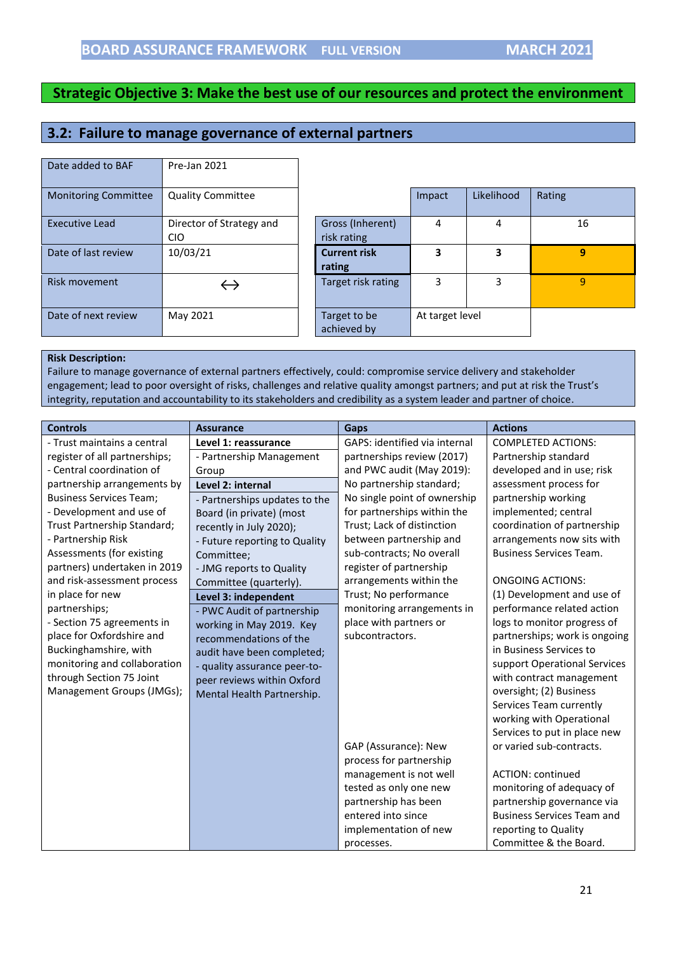## <span id="page-20-0"></span>**3.2: Failure to manage governance of external partners**

| Date added to BAF           | Pre-Jan 2021                           |                                 |                 |            |        |
|-----------------------------|----------------------------------------|---------------------------------|-----------------|------------|--------|
| <b>Monitoring Committee</b> | <b>Quality Committee</b>               |                                 | Impact          | Likelihood | Rating |
| <b>Executive Lead</b>       | Director of Strategy and<br><b>CIO</b> | Gross (Inherent)<br>risk rating | 4               | 4          |        |
| Date of last review         | 10/03/21                               | <b>Current risk</b><br>rating   | 3               | 3          |        |
| Risk movement               |                                        | Target risk rating              | 3               | 3          |        |
| Date of next review         | May 2021                               | Target to be<br>achieved by     | At target level |            |        |

| <b>Monitoring Committee</b> | <b>Quality Committee</b>               |                                 | Impact          | Likelihood | Rating         |
|-----------------------------|----------------------------------------|---------------------------------|-----------------|------------|----------------|
| <b>Executive Lead</b>       | Director of Strategy and<br><b>CIO</b> | Gross (Inherent)<br>risk rating | 4               | 4          | 16             |
| Date of last review         | 10/03/21                               | <b>Current risk</b><br>rating   | 3               | 3          | $\overline{9}$ |
| Risk movement               |                                        | Target risk rating              | 3               | 3          | 9              |
| Date of next review         | May 2021                               | Target to be<br>achieved by     | At target level |            |                |

#### **Risk Description:**

Failure to manage governance of external partners effectively, could: compromise service delivery and stakeholder engagement; lead to poor oversight of risks, challenges and relative quality amongst partners; and put at risk the Trust's integrity, reputation and accountability to its stakeholders and credibility as a system leader and partner of choice.

| <b>Controls</b>                | <b>Assurance</b>              | Gaps                          | <b>Actions</b>                    |
|--------------------------------|-------------------------------|-------------------------------|-----------------------------------|
| - Trust maintains a central    | Level 1: reassurance          | GAPS: identified via internal | <b>COMPLETED ACTIONS:</b>         |
| register of all partnerships;  | - Partnership Management      | partnerships review (2017)    | Partnership standard              |
| - Central coordination of      | Group                         | and PWC audit (May 2019):     | developed and in use; risk        |
| partnership arrangements by    | Level 2: internal             | No partnership standard;      | assessment process for            |
| <b>Business Services Team;</b> | - Partnerships updates to the | No single point of ownership  | partnership working               |
| - Development and use of       | Board (in private) (most      | for partnerships within the   | implemented; central              |
| Trust Partnership Standard;    | recently in July 2020);       | Trust; Lack of distinction    | coordination of partnership       |
| - Partnership Risk             | - Future reporting to Quality | between partnership and       | arrangements now sits with        |
| Assessments (for existing      | Committee;                    | sub-contracts; No overall     | <b>Business Services Team.</b>    |
| partners) undertaken in 2019   | - JMG reports to Quality      | register of partnership       |                                   |
| and risk-assessment process    | Committee (quarterly).        | arrangements within the       | <b>ONGOING ACTIONS:</b>           |
| in place for new               | Level 3: independent          | Trust; No performance         | (1) Development and use of        |
| partnerships;                  | - PWC Audit of partnership    | monitoring arrangements in    | performance related action        |
| - Section 75 agreements in     | working in May 2019. Key      | place with partners or        | logs to monitor progress of       |
| place for Oxfordshire and      | recommendations of the        | subcontractors.               | partnerships; work is ongoing     |
| Buckinghamshire, with          | audit have been completed;    |                               | in Business Services to           |
| monitoring and collaboration   | - quality assurance peer-to-  |                               | support Operational Services      |
| through Section 75 Joint       | peer reviews within Oxford    |                               | with contract management          |
| Management Groups (JMGs);      | Mental Health Partnership.    |                               | oversight; (2) Business           |
|                                |                               |                               | Services Team currently           |
|                                |                               |                               | working with Operational          |
|                                |                               |                               | Services to put in place new      |
|                                |                               | GAP (Assurance): New          | or varied sub-contracts.          |
|                                |                               | process for partnership       |                                   |
|                                |                               | management is not well        | <b>ACTION: continued</b>          |
|                                |                               | tested as only one new        | monitoring of adequacy of         |
|                                |                               | partnership has been          | partnership governance via        |
|                                |                               | entered into since            | <b>Business Services Team and</b> |
|                                |                               | implementation of new         | reporting to Quality              |
|                                |                               | processes.                    | Committee & the Board.            |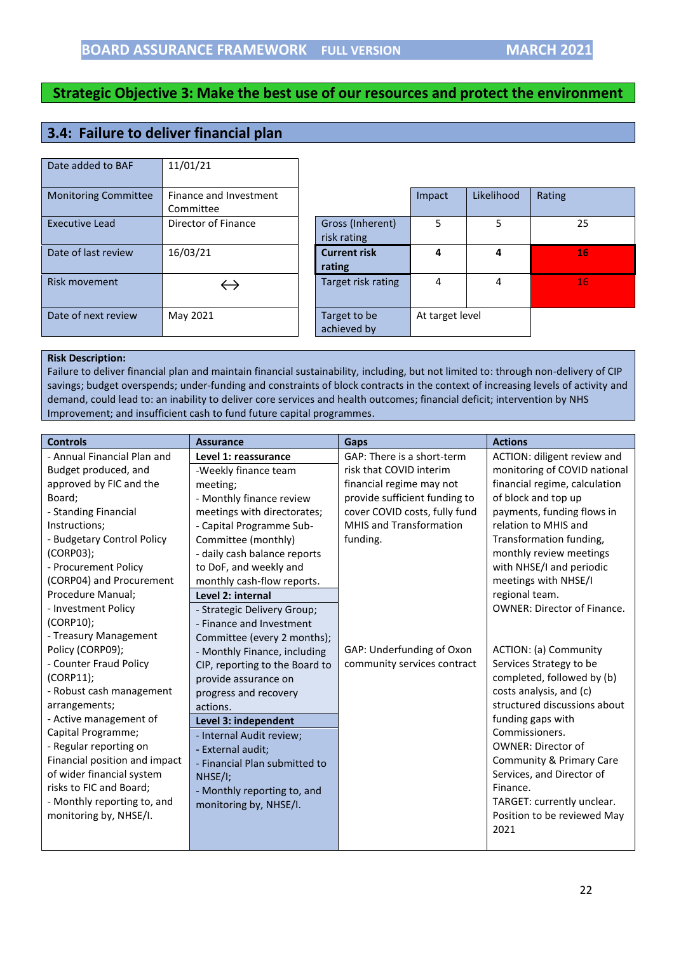# <span id="page-21-0"></span>**3.4: Failure to deliver financial plan**

| Date added to BAF           | 11/01/21               |                             |                 |            |        |
|-----------------------------|------------------------|-----------------------------|-----------------|------------|--------|
| <b>Monitoring Committee</b> | Finance and Investment |                             | Impact          | Likelihood | Rating |
|                             | Committee              |                             |                 |            |        |
| <b>Executive Lead</b>       | Director of Finance    | Gross (Inherent)            | 5               | 5          | 25     |
|                             |                        | risk rating                 |                 |            |        |
| Date of last review         | 16/03/21               | <b>Current risk</b>         | 4               | 4          | 16     |
|                             |                        | rating                      |                 |            |        |
| <b>Risk movement</b>        |                        | Target risk rating          | 4               | 4          | 16     |
|                             |                        |                             |                 |            |        |
| Date of next review         | May 2021               | Target to be<br>achieved by | At target level |            |        |

#### **Risk Description:**

Failure to deliver financial plan and maintain financial sustainability, including, but not limited to: through non-delivery of CIP savings; budget overspends; under-funding and constraints of block contracts in the context of increasing levels of activity and demand, could lead to: an inability to deliver core services and health outcomes; financial deficit; intervention by NHS Improvement; and insufficient cash to fund future capital programmes.

| <b>Controls</b>               | <b>Assurance</b>               | Gaps                           | <b>Actions</b>                     |
|-------------------------------|--------------------------------|--------------------------------|------------------------------------|
| - Annual Financial Plan and   | Level 1: reassurance           | GAP: There is a short-term     | ACTION: diligent review and        |
| Budget produced, and          | -Weekly finance team           | risk that COVID interim        | monitoring of COVID national       |
| approved by FIC and the       | meeting;                       | financial regime may not       | financial regime, calculation      |
| Board;                        | - Monthly finance review       | provide sufficient funding to  | of block and top up                |
| - Standing Financial          | meetings with directorates;    | cover COVID costs, fully fund  | payments, funding flows in         |
| Instructions;                 | - Capital Programme Sub-       | <b>MHIS and Transformation</b> | relation to MHIS and               |
| - Budgetary Control Policy    | Committee (monthly)            | funding.                       | Transformation funding,            |
| $(CORPO3)$ ;                  | - daily cash balance reports   |                                | monthly review meetings            |
| - Procurement Policy          | to DoF, and weekly and         |                                | with NHSE/I and periodic           |
| (CORP04) and Procurement      | monthly cash-flow reports.     |                                | meetings with NHSE/I               |
| Procedure Manual;             | Level 2: internal              |                                | regional team.                     |
| - Investment Policy           | - Strategic Delivery Group;    |                                | <b>OWNER: Director of Finance.</b> |
| (CORP10);                     | - Finance and Investment       |                                |                                    |
| - Treasury Management         | Committee (every 2 months);    |                                |                                    |
| Policy (CORP09);              | - Monthly Finance, including   | GAP: Underfunding of Oxon      | ACTION: (a) Community              |
| - Counter Fraud Policy        | CIP, reporting to the Board to | community services contract    | Services Strategy to be            |
| (CORP11);                     | provide assurance on           |                                | completed, followed by (b)         |
| - Robust cash management      | progress and recovery          |                                | costs analysis, and (c)            |
| arrangements;                 | actions.                       |                                | structured discussions about       |
| - Active management of        | Level 3: independent           |                                | funding gaps with                  |
| Capital Programme;            | - Internal Audit review;       |                                | Commissioners.                     |
| - Regular reporting on        | - External audit;              |                                | <b>OWNER: Director of</b>          |
| Financial position and impact | - Financial Plan submitted to  |                                | Community & Primary Care           |
| of wider financial system     | $NHSE/I$ ;                     |                                | Services, and Director of          |
| risks to FIC and Board;       | - Monthly reporting to, and    |                                | Finance.                           |
| - Monthly reporting to, and   | monitoring by, NHSE/I.         |                                | TARGET: currently unclear.         |
| monitoring by, NHSE/I.        |                                |                                | Position to be reviewed May        |
|                               |                                |                                | 2021                               |
|                               |                                |                                |                                    |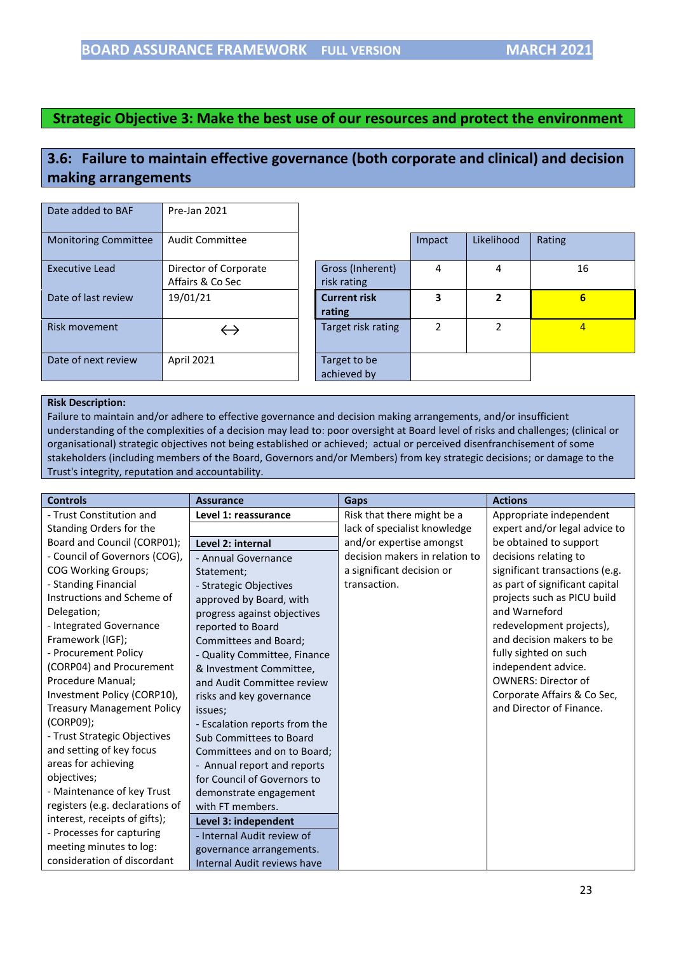# <span id="page-22-0"></span>**3.6: Failure to maintain effective governance (both corporate and clinical) and decision making arrangements**

| Date added to BAF           | Pre-Jan 2021                              |                                 |        |            |                |
|-----------------------------|-------------------------------------------|---------------------------------|--------|------------|----------------|
| <b>Monitoring Committee</b> | <b>Audit Committee</b>                    |                                 | Impact | Likelihood | Rating         |
| Executive Lead              | Director of Corporate<br>Affairs & Co Sec | Gross (Inherent)<br>risk rating | 4      | 4          | 16             |
| Date of last review         | 19/01/21                                  | <b>Current risk</b><br>rating   | 3      | 2          | 6              |
| <b>Risk movement</b>        | $\hookrightarrow$                         | Target risk rating              | 2      | 2          | $\overline{4}$ |
| Date of next review         | April 2021                                | Target to be<br>achieved by     |        |            |                |

#### **Risk Description:**

Failure to maintain and/or adhere to effective governance and decision making arrangements, and/or insufficient understanding of the complexities of a decision may lead to: poor oversight at Board level of risks and challenges; (clinical or organisational) strategic objectives not being established or achieved; actual or perceived disenfranchisement of some stakeholders (including members of the Board, Governors and/or Members) from key strategic decisions; or damage to the Trust's integrity, reputation and accountability.

| <b>Controls</b>                   | <b>Assurance</b>                   | Gaps                           | <b>Actions</b>                 |
|-----------------------------------|------------------------------------|--------------------------------|--------------------------------|
| - Trust Constitution and          | Level 1: reassurance               | Risk that there might be a     | Appropriate independent        |
| Standing Orders for the           |                                    | lack of specialist knowledge   | expert and/or legal advice to  |
| Board and Council (CORP01);       | Level 2: internal                  | and/or expertise amongst       | be obtained to support         |
| - Council of Governors (COG),     | - Annual Governance                | decision makers in relation to | decisions relating to          |
| <b>COG Working Groups;</b>        | Statement;                         | a significant decision or      | significant transactions (e.g. |
| - Standing Financial              | - Strategic Objectives             | transaction.                   | as part of significant capital |
| Instructions and Scheme of        | approved by Board, with            |                                | projects such as PICU build    |
| Delegation;                       | progress against objectives        |                                | and Warneford                  |
| - Integrated Governance           | reported to Board                  |                                | redevelopment projects),       |
| Framework (IGF);                  | Committees and Board;              |                                | and decision makers to be      |
| - Procurement Policy              | - Quality Committee, Finance       |                                | fully sighted on such          |
| (CORP04) and Procurement          | & Investment Committee,            |                                | independent advice.            |
| Procedure Manual;                 | and Audit Committee review         |                                | <b>OWNERS: Director of</b>     |
| Investment Policy (CORP10),       | risks and key governance           |                                | Corporate Affairs & Co Sec,    |
| <b>Treasury Management Policy</b> | issues;                            |                                | and Director of Finance.       |
| (CORPO9);                         | - Escalation reports from the      |                                |                                |
| - Trust Strategic Objectives      | Sub Committees to Board            |                                |                                |
| and setting of key focus          | Committees and on to Board;        |                                |                                |
| areas for achieving               | - Annual report and reports        |                                |                                |
| objectives;                       | for Council of Governors to        |                                |                                |
| - Maintenance of key Trust        | demonstrate engagement             |                                |                                |
| registers (e.g. declarations of   | with FT members.                   |                                |                                |
| interest, receipts of gifts);     | Level 3: independent               |                                |                                |
| - Processes for capturing         | - Internal Audit review of         |                                |                                |
| meeting minutes to log:           | governance arrangements.           |                                |                                |
| consideration of discordant       | <b>Internal Audit reviews have</b> |                                |                                |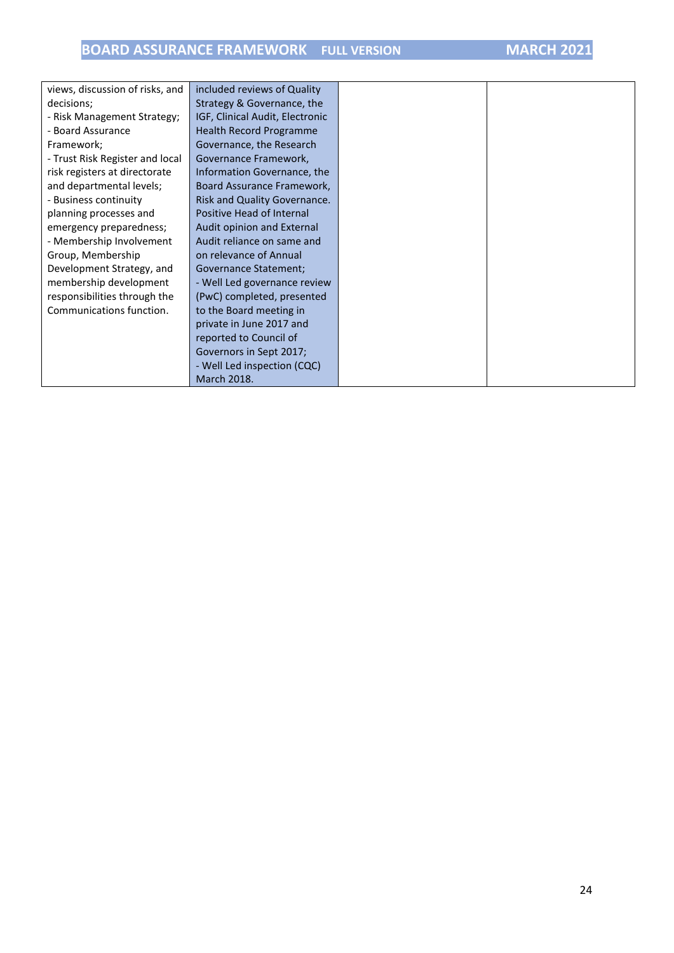| views, discussion of risks, and | included reviews of Quality     |
|---------------------------------|---------------------------------|
| decisions;                      | Strategy & Governance, the      |
| - Risk Management Strategy;     | IGF, Clinical Audit, Electronic |
| - Board Assurance               | Health Record Programme         |
| Framework;                      | Governance, the Research        |
| - Trust Risk Register and local | Governance Framework,           |
| risk registers at directorate   | Information Governance, the     |
| and departmental levels;        | Board Assurance Framework,      |
| - Business continuity           | Risk and Quality Governance.    |
| planning processes and          | Positive Head of Internal       |
| emergency preparedness;         | Audit opinion and External      |
| - Membership Involvement        | Audit reliance on same and      |
| Group, Membership               | on relevance of Annual          |
| Development Strategy, and       | Governance Statement;           |
| membership development          | - Well Led governance review    |
| responsibilities through the    | (PwC) completed, presented      |
| Communications function.        | to the Board meeting in         |
|                                 | private in June 2017 and        |
|                                 | reported to Council of          |
|                                 | Governors in Sept 2017;         |
|                                 | - Well Led inspection (CQC)     |
|                                 | <b>March 2018.</b>              |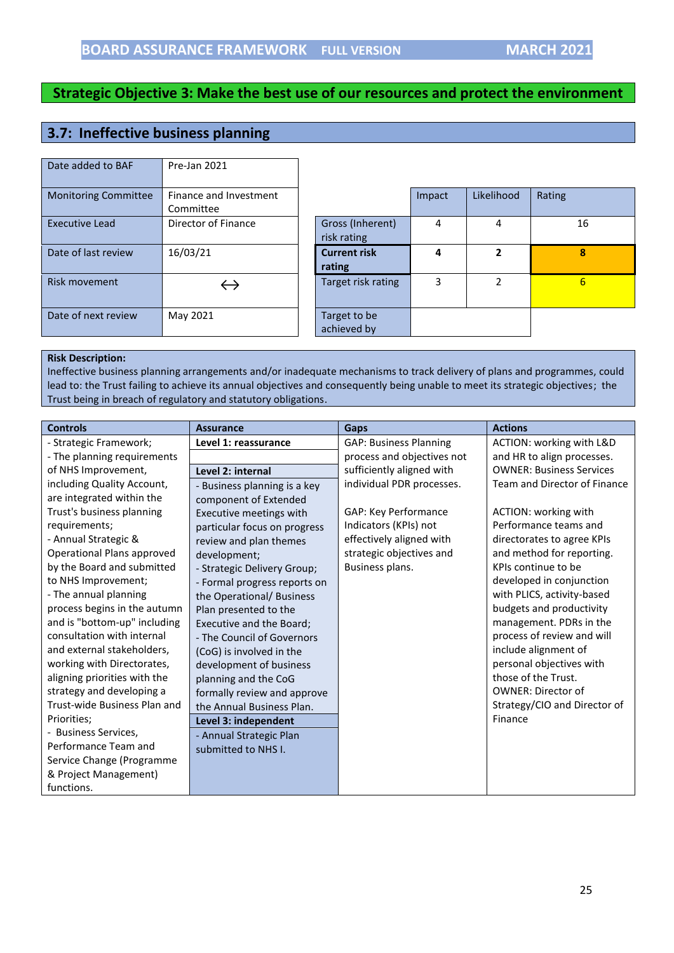# <span id="page-24-0"></span>**3.7: Ineffective business planning**

| Date added to BAF           | Pre-Jan 2021           |                     |        |               |                 |
|-----------------------------|------------------------|---------------------|--------|---------------|-----------------|
| <b>Monitoring Committee</b> | Finance and Investment |                     | Impact | Likelihood    | Rating          |
|                             | Committee              |                     |        |               |                 |
| Executive Lead              | Director of Finance    | Gross (Inherent)    | 4      | 4             | 16              |
|                             |                        | risk rating         |        |               |                 |
| Date of last review         | 16/03/21               | <b>Current risk</b> | 4      | 2             | 8               |
|                             |                        | rating              |        |               |                 |
| Risk movement               |                        | Target risk rating  | 3      | $\mathcal{P}$ | $6\overline{6}$ |
|                             |                        |                     |        |               |                 |
| Date of next review         | May 2021               | Target to be        |        |               |                 |
|                             |                        | achieved by         |        |               |                 |

#### **Risk Description:**

Ineffective business planning arrangements and/or inadequate mechanisms to track delivery of plans and programmes, could lead to: the Trust failing to achieve its annual objectives and consequently being unable to meet its strategic objectives; the Trust being in breach of regulatory and statutory obligations.

| <b>Controls</b>              | <b>Assurance</b>             | <b>Gaps</b>                   | <b>Actions</b>                  |
|------------------------------|------------------------------|-------------------------------|---------------------------------|
| - Strategic Framework;       | Level 1: reassurance         | <b>GAP: Business Planning</b> | ACTION: working with L&D        |
| - The planning requirements  |                              | process and objectives not    | and HR to align processes.      |
| of NHS Improvement,          | Level 2: internal            | sufficiently aligned with     | <b>OWNER: Business Services</b> |
| including Quality Account,   | - Business planning is a key | individual PDR processes.     | Team and Director of Finance    |
| are integrated within the    | component of Extended        |                               |                                 |
| Trust's business planning    | Executive meetings with      | GAP: Key Performance          | ACTION: working with            |
| requirements;                | particular focus on progress | Indicators (KPIs) not         | Performance teams and           |
| - Annual Strategic &         | review and plan themes       | effectively aligned with      | directorates to agree KPIs      |
| Operational Plans approved   | development;                 | strategic objectives and      | and method for reporting.       |
| by the Board and submitted   | - Strategic Delivery Group;  | Business plans.               | KPIs continue to be             |
| to NHS Improvement;          | - Formal progress reports on |                               | developed in conjunction        |
| - The annual planning        | the Operational/ Business    |                               | with PLICS, activity-based      |
| process begins in the autumn | Plan presented to the        |                               | budgets and productivity        |
| and is "bottom-up" including | Executive and the Board;     |                               | management. PDRs in the         |
| consultation with internal   | - The Council of Governors   |                               | process of review and will      |
| and external stakeholders,   | (CoG) is involved in the     |                               | include alignment of            |
| working with Directorates,   | development of business      |                               | personal objectives with        |
| aligning priorities with the | planning and the CoG         |                               | those of the Trust.             |
| strategy and developing a    | formally review and approve  |                               | <b>OWNER: Director of</b>       |
| Trust-wide Business Plan and | the Annual Business Plan.    |                               | Strategy/CIO and Director of    |
| Priorities;                  | Level 3: independent         |                               | Finance                         |
| - Business Services,         | - Annual Strategic Plan      |                               |                                 |
| Performance Team and         | submitted to NHS I.          |                               |                                 |
| Service Change (Programme    |                              |                               |                                 |
| & Project Management)        |                              |                               |                                 |
| functions.                   |                              |                               |                                 |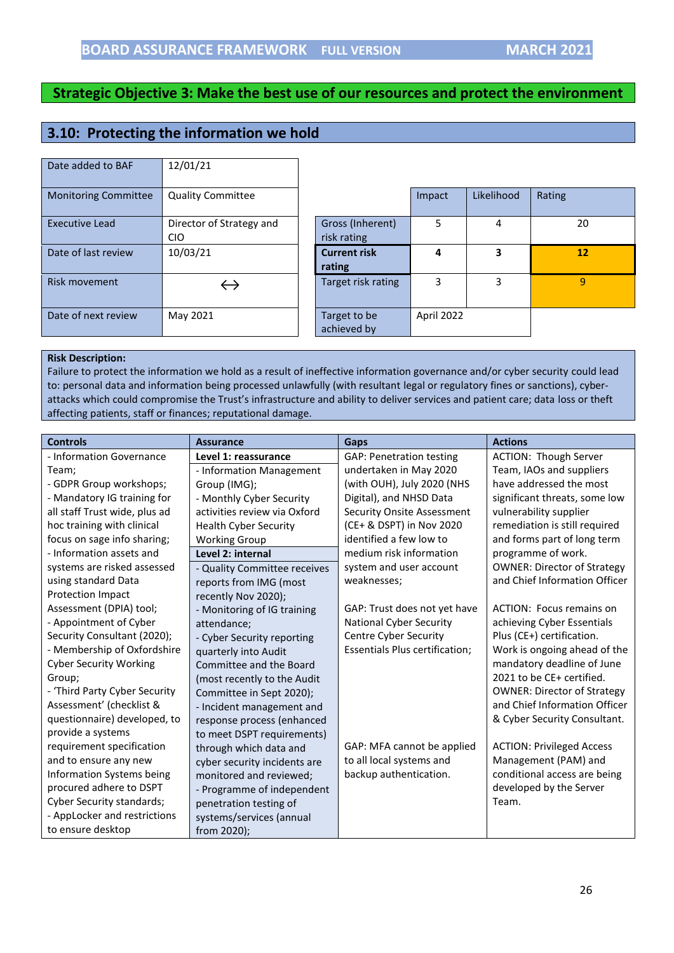## <span id="page-25-0"></span>**3.10: Protecting the information we hold**

| Date added to BAF           | 12/01/21                               |                                 |        |            |        |
|-----------------------------|----------------------------------------|---------------------------------|--------|------------|--------|
| <b>Monitoring Committee</b> | <b>Quality Committee</b>               |                                 | Impact | Likelihood | Rating |
| <b>Executive Lead</b>       | Director of Strategy and<br><b>CIO</b> | Gross (Inherent)<br>risk rating | 5      | 4          | 2      |
| Date of last review         | 10/03/21                               | <b>Current risk</b>             | 4      | 3          | 1      |
|                             |                                        | rating                          |        |            |        |
| Risk movement               | $\leftrightarrow$                      | Target risk rating              | 3      | 3          | 9      |

|                                 | Impact     | Likelihood | Rating |
|---------------------------------|------------|------------|--------|
| Gross (Inherent)<br>risk rating | 5          | 4          | 20     |
| <b>Current risk</b><br>rating   | 4          | 3          | 12     |
| Target risk rating              | 3          | 3          | ٩      |
| Target to be<br>achieved by     | April 2022 |            |        |

#### **Risk Description:**

Failure to protect the information we hold as a result of ineffective information governance and/or cyber security could lead to: personal data and information being processed unlawfully (with resultant legal or regulatory fines or sanctions), cyberattacks which could compromise the Trust's infrastructure and ability to deliver services and patient care; data loss or theft affecting patients, staff or finances; reputational damage.

| <b>Controls</b>                  | <b>Assurance</b>             | Gaps                              | <b>Actions</b>                     |
|----------------------------------|------------------------------|-----------------------------------|------------------------------------|
| - Information Governance         | Level 1: reassurance         | <b>GAP: Penetration testing</b>   | ACTION: Though Server              |
| Team;                            | - Information Management     | undertaken in May 2020            | Team, IAOs and suppliers           |
| - GDPR Group workshops;          | Group (IMG);                 | (with OUH), July 2020 (NHS        | have addressed the most            |
| - Mandatory IG training for      | - Monthly Cyber Security     | Digital), and NHSD Data           | significant threats, some low      |
| all staff Trust wide, plus ad    | activities review via Oxford | <b>Security Onsite Assessment</b> | vulnerability supplier             |
| hoc training with clinical       | <b>Health Cyber Security</b> | (CE+ & DSPT) in Nov 2020          | remediation is still required      |
| focus on sage info sharing;      | <b>Working Group</b>         | identified a few low to           | and forms part of long term        |
| - Information assets and         | Level 2: internal            | medium risk information           | programme of work.                 |
| systems are risked assessed      | - Quality Committee receives | system and user account           | <b>OWNER: Director of Strategy</b> |
| using standard Data              | reports from IMG (most       | weaknesses;                       | and Chief Information Officer      |
| <b>Protection Impact</b>         | recently Nov 2020);          |                                   |                                    |
| Assessment (DPIA) tool;          | - Monitoring of IG training  | GAP: Trust does not yet have      | ACTION: Focus remains on           |
| - Appointment of Cyber           | attendance;                  | <b>National Cyber Security</b>    | achieving Cyber Essentials         |
| Security Consultant (2020);      | - Cyber Security reporting   | Centre Cyber Security             | Plus (CE+) certification.          |
| - Membership of Oxfordshire      | quarterly into Audit         | Essentials Plus certification;    | Work is ongoing ahead of the       |
| <b>Cyber Security Working</b>    | Committee and the Board      |                                   | mandatory deadline of June         |
| Group;                           | (most recently to the Audit  |                                   | 2021 to be CE+ certified.          |
| - 'Third Party Cyber Security    | Committee in Sept 2020);     |                                   | <b>OWNER: Director of Strategy</b> |
| Assessment' (checklist &         | - Incident management and    |                                   | and Chief Information Officer      |
| questionnaire) developed, to     | response process (enhanced   |                                   | & Cyber Security Consultant.       |
| provide a systems                | to meet DSPT requirements)   |                                   |                                    |
| requirement specification        | through which data and       | GAP: MFA cannot be applied        | <b>ACTION: Privileged Access</b>   |
| and to ensure any new            | cyber security incidents are | to all local systems and          | Management (PAM) and               |
| Information Systems being        | monitored and reviewed;      | backup authentication.            | conditional access are being       |
| procured adhere to DSPT          | - Programme of independent   |                                   | developed by the Server            |
| <b>Cyber Security standards;</b> | penetration testing of       |                                   | Team.                              |
| - AppLocker and restrictions     | systems/services (annual     |                                   |                                    |
| to ensure desktop                | from 2020);                  |                                   |                                    |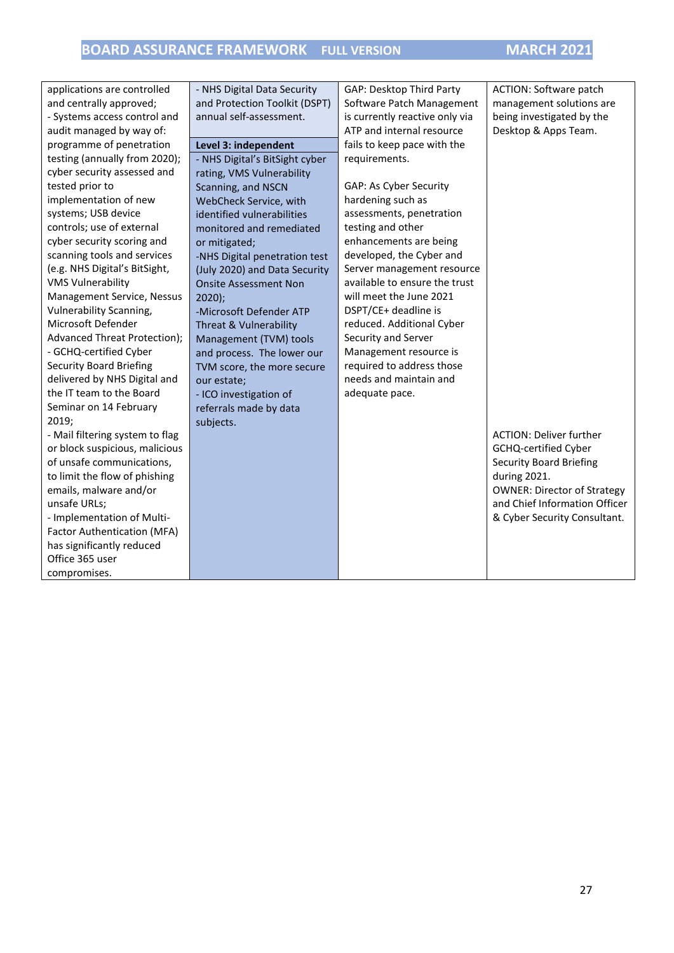| applications are controlled     | - NHS Digital Data Security    | GAP: Desktop Third Party       | <b>ACTION: Software patch</b>      |
|---------------------------------|--------------------------------|--------------------------------|------------------------------------|
| and centrally approved;         | and Protection Toolkit (DSPT)  | Software Patch Management      | management solutions are           |
| - Systems access control and    | annual self-assessment.        | is currently reactive only via | being investigated by the          |
| audit managed by way of:        |                                | ATP and internal resource      | Desktop & Apps Team.               |
| programme of penetration        | Level 3: independent           | fails to keep pace with the    |                                    |
| testing (annually from 2020);   | - NHS Digital's BitSight cyber | requirements.                  |                                    |
| cyber security assessed and     | rating, VMS Vulnerability      |                                |                                    |
| tested prior to                 | Scanning, and NSCN             | GAP: As Cyber Security         |                                    |
| implementation of new           | WebCheck Service, with         | hardening such as              |                                    |
| systems; USB device             | identified vulnerabilities     | assessments, penetration       |                                    |
| controls; use of external       | monitored and remediated       | testing and other              |                                    |
| cyber security scoring and      | or mitigated;                  | enhancements are being         |                                    |
| scanning tools and services     | -NHS Digital penetration test  | developed, the Cyber and       |                                    |
| (e.g. NHS Digital's BitSight,   | (July 2020) and Data Security  | Server management resource     |                                    |
| <b>VMS Vulnerability</b>        | <b>Onsite Assessment Non</b>   | available to ensure the trust  |                                    |
| Management Service, Nessus      | $2020$ );                      | will meet the June 2021        |                                    |
| Vulnerability Scanning,         | -Microsoft Defender ATP        | DSPT/CE+ deadline is           |                                    |
| Microsoft Defender              | Threat & Vulnerability         | reduced. Additional Cyber      |                                    |
| Advanced Threat Protection);    | Management (TVM) tools         | Security and Server            |                                    |
| - GCHQ-certified Cyber          | and process. The lower our     | Management resource is         |                                    |
| <b>Security Board Briefing</b>  | TVM score, the more secure     | required to address those      |                                    |
| delivered by NHS Digital and    | our estate;                    | needs and maintain and         |                                    |
| the IT team to the Board        | - ICO investigation of         | adequate pace.                 |                                    |
| Seminar on 14 February          | referrals made by data         |                                |                                    |
| 2019;                           | subjects.                      |                                |                                    |
| - Mail filtering system to flag |                                |                                | <b>ACTION: Deliver further</b>     |
| or block suspicious, malicious  |                                |                                | GCHQ-certified Cyber               |
| of unsafe communications,       |                                |                                | <b>Security Board Briefing</b>     |
| to limit the flow of phishing   |                                |                                | during 2021.                       |
| emails, malware and/or          |                                |                                | <b>OWNER: Director of Strategy</b> |
| unsafe URLs;                    |                                |                                | and Chief Information Officer      |
| - Implementation of Multi-      |                                |                                | & Cyber Security Consultant.       |
| Factor Authentication (MFA)     |                                |                                |                                    |
| has significantly reduced       |                                |                                |                                    |
| Office 365 user                 |                                |                                |                                    |
| compromises.                    |                                |                                |                                    |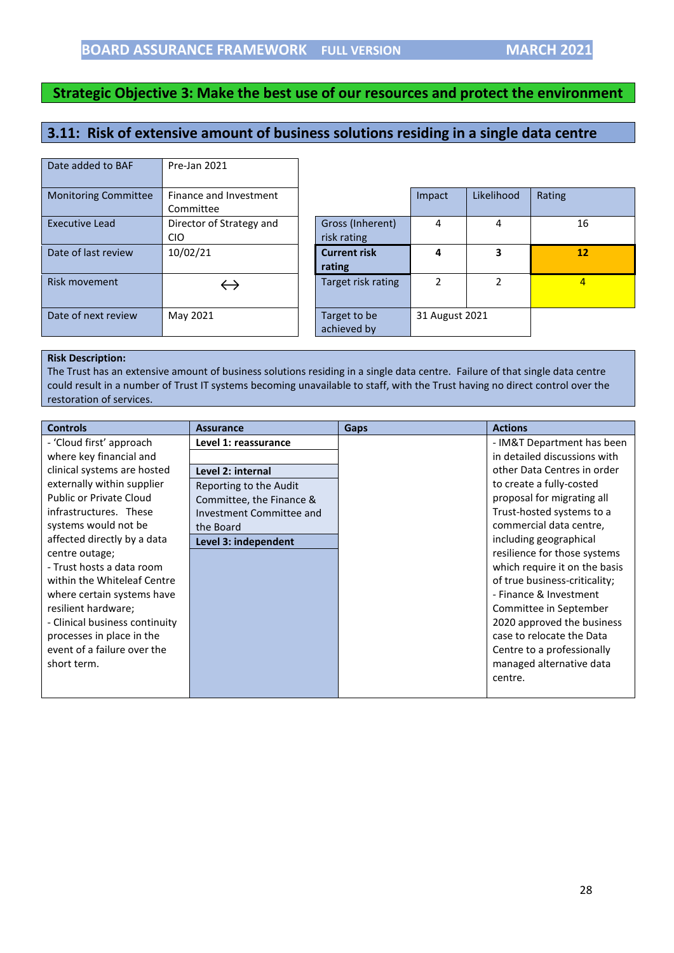# <span id="page-27-0"></span>**3.11: Risk of extensive amount of business solutions residing in a single data centre**

| Date added to BAF           | Pre-Jan 2021             |                     |
|-----------------------------|--------------------------|---------------------|
|                             |                          |                     |
| <b>Monitoring Committee</b> | Finance and Investment   |                     |
|                             | Committee                |                     |
| Executive Lead              | Director of Strategy and | Gross (Inher        |
|                             | CIO                      | risk rating         |
| Date of last review         | 10/02/21                 | <b>Current risk</b> |
|                             |                          | rating              |
| Risk movement               | $\hookrightarrow$        | Target risk ra      |
|                             |                          |                     |
| Date of next review         | May 2021                 | Target to be        |
|                             |                          | achieved by         |

| Finance and Investment   |                     | Impact        | Likelihood | Rating         |
|--------------------------|---------------------|---------------|------------|----------------|
| Committee                |                     |               |            |                |
| Director of Strategy and | Gross (Inherent)    | 4             | 4          | 16             |
| <b>CIO</b>               | risk rating         |               |            |                |
| 10/02/21                 | <b>Current risk</b> | 4             |            | 12             |
|                          | rating              |               |            |                |
|                          | Target risk rating  | $\mathfrak z$ |            | $\overline{4}$ |
|                          |                     |               |            |                |
|                          |                     |               |            |                |
|                          |                     |               |            |                |
|                          | achieved by         |               |            |                |
|                          | May 2021            | Target to be  |            | 31 August 2021 |

#### **Risk Description:**

The Trust has an extensive amount of business solutions residing in a single data centre. Failure of that single data centre could result in a number of Trust IT systems becoming unavailable to staff, with the Trust having no direct control over the restoration of services.

| <b>Controls</b>                | <b>Assurance</b>         | <b>Gaps</b> | <b>Actions</b>                |
|--------------------------------|--------------------------|-------------|-------------------------------|
| - 'Cloud first' approach       | Level 1: reassurance     |             | - IM&T Department has been    |
| where key financial and        |                          |             | in detailed discussions with  |
| clinical systems are hosted    | Level 2: internal        |             | other Data Centres in order   |
| externally within supplier     | Reporting to the Audit   |             | to create a fully-costed      |
| Public or Private Cloud        | Committee, the Finance & |             | proposal for migrating all    |
| infrastructures. These         | Investment Committee and |             | Trust-hosted systems to a     |
| systems would not be           | the Board                |             | commercial data centre,       |
| affected directly by a data    | Level 3: independent     |             | including geographical        |
| centre outage;                 |                          |             | resilience for those systems  |
| - Trust hosts a data room      |                          |             | which require it on the basis |
| within the Whiteleaf Centre    |                          |             | of true business-criticality; |
| where certain systems have     |                          |             | - Finance & Investment        |
| resilient hardware;            |                          |             | Committee in September        |
| - Clinical business continuity |                          |             | 2020 approved the business    |
| processes in place in the      |                          |             | case to relocate the Data     |
| event of a failure over the    |                          |             | Centre to a professionally    |
| short term.                    |                          |             | managed alternative data      |
|                                |                          |             | centre.                       |
|                                |                          |             |                               |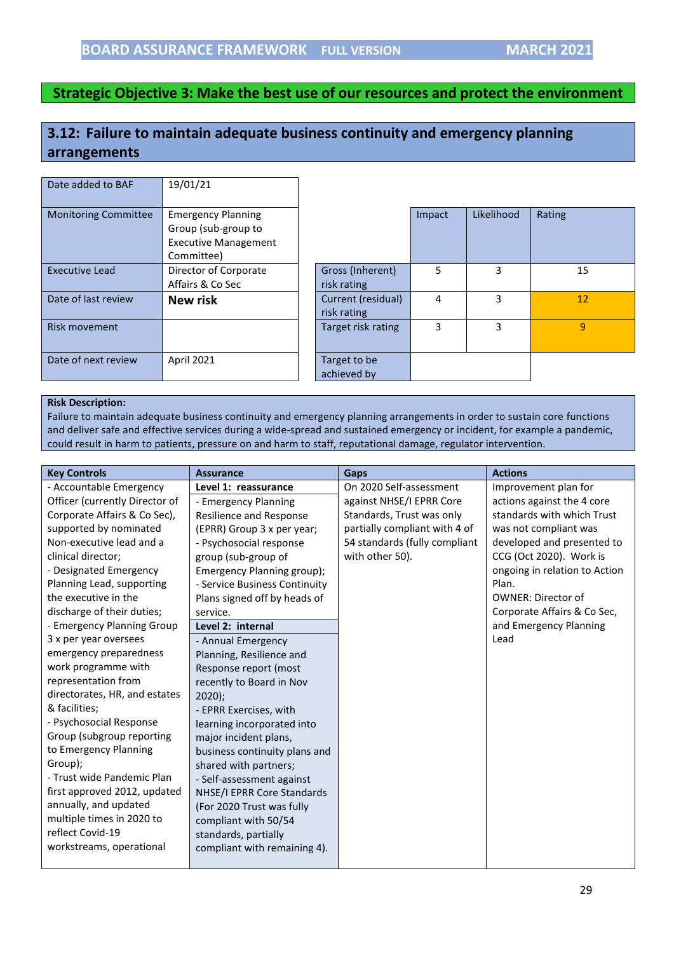# <span id="page-28-0"></span>**3.12: Failure to maintain adequate business continuity and emergency planning arrangements**

| Date added to BAF           | 19/01/21                                                                                      |                                   |        |            |        |
|-----------------------------|-----------------------------------------------------------------------------------------------|-----------------------------------|--------|------------|--------|
| <b>Monitoring Committee</b> | <b>Emergency Planning</b><br>Group (sub-group to<br><b>Executive Management</b><br>Committee) |                                   | Impact | Likelihood | Rating |
| <b>Executive Lead</b>       | Director of Corporate<br>Affairs & Co Sec                                                     | Gross (Inherent)<br>risk rating   | 5      | 3          | 15     |
| Date of last review         | New risk                                                                                      | Current (residual)<br>risk rating | 4      | 3          | 12     |
| <b>Risk movement</b>        |                                                                                               | Target risk rating                | 3      | 3          | 9      |
| Date of next review         | April 2021                                                                                    | Target to be<br>achieved by       |        |            |        |

#### **Risk Description:**

Failure to maintain adequate business continuity and emergency planning arrangements in order to sustain core functions and deliver safe and effective services during a wide-spread and sustained emergency or incident, for example a pandemic, could result in harm to patients, pressure on and harm to staff, reputational damage, regulator intervention.

| <b>Key Controls</b>            | <b>Assurance</b>               | Gaps                          | <b>Actions</b>                |
|--------------------------------|--------------------------------|-------------------------------|-------------------------------|
| - Accountable Emergency        | Level 1: reassurance           | On 2020 Self-assessment       | Improvement plan for          |
| Officer (currently Director of | - Emergency Planning           | against NHSE/I EPRR Core      | actions against the 4 core    |
| Corporate Affairs & Co Sec),   | <b>Resilience and Response</b> | Standards, Trust was only     | standards with which Trust    |
| supported by nominated         | (EPRR) Group 3 x per year;     | partially compliant with 4 of | was not compliant was         |
| Non-executive lead and a       | - Psychosocial response        | 54 standards (fully compliant | developed and presented to    |
| clinical director;             | group (sub-group of            | with other 50).               | CCG (Oct 2020). Work is       |
| - Designated Emergency         | Emergency Planning group);     |                               | ongoing in relation to Action |
| Planning Lead, supporting      | - Service Business Continuity  |                               | Plan.                         |
| the executive in the           | Plans signed off by heads of   |                               | <b>OWNER: Director of</b>     |
| discharge of their duties;     | service.                       |                               | Corporate Affairs & Co Sec,   |
| - Emergency Planning Group     | Level 2: internal              |                               | and Emergency Planning        |
| 3 x per year oversees          | - Annual Emergency             |                               | Lead                          |
| emergency preparedness         | Planning, Resilience and       |                               |                               |
| work programme with            | Response report (most          |                               |                               |
| representation from            | recently to Board in Nov       |                               |                               |
| directorates, HR, and estates  | $2020$ ;                       |                               |                               |
| & facilities;                  | - EPRR Exercises, with         |                               |                               |
| - Psychosocial Response        | learning incorporated into     |                               |                               |
| Group (subgroup reporting      | major incident plans,          |                               |                               |
| to Emergency Planning          | business continuity plans and  |                               |                               |
| Group);                        | shared with partners;          |                               |                               |
| - Trust wide Pandemic Plan     | - Self-assessment against      |                               |                               |
| first approved 2012, updated   | NHSE/I EPRR Core Standards     |                               |                               |
| annually, and updated          | (For 2020 Trust was fully      |                               |                               |
| multiple times in 2020 to      | compliant with 50/54           |                               |                               |
| reflect Covid-19               | standards, partially           |                               |                               |
| workstreams, operational       | compliant with remaining 4).   |                               |                               |
|                                |                                |                               |                               |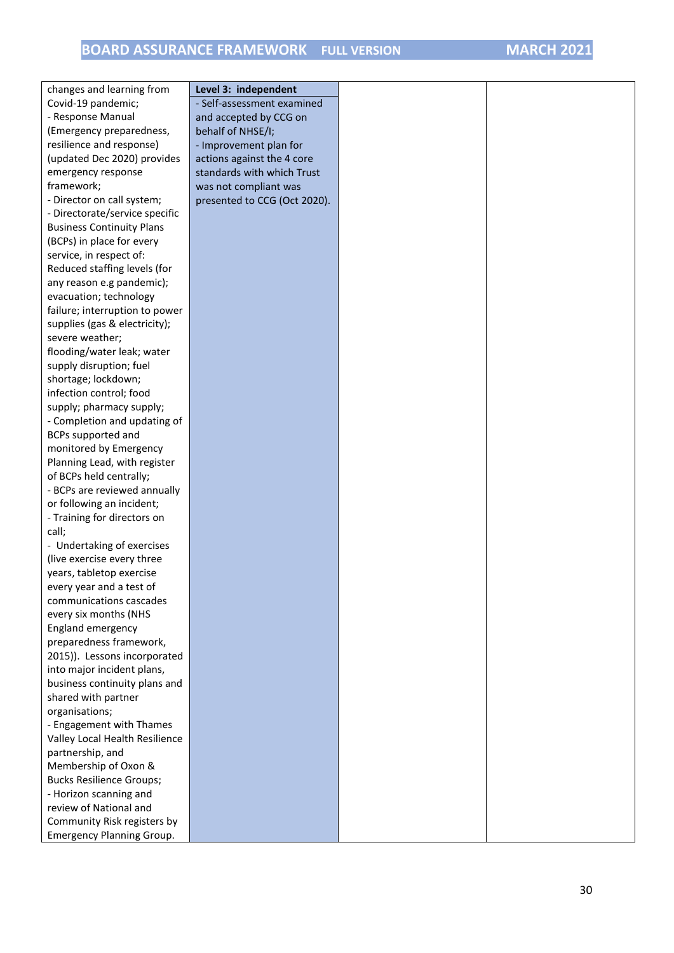| changes and learning from                            | Level 3: independent         |  |
|------------------------------------------------------|------------------------------|--|
|                                                      |                              |  |
| Covid-19 pandemic;<br>- Response Manual              | - Self-assessment examined   |  |
|                                                      | and accepted by CCG on       |  |
| (Emergency preparedness,<br>resilience and response) | behalf of NHSE/I;            |  |
|                                                      | - Improvement plan for       |  |
| (updated Dec 2020) provides                          | actions against the 4 core   |  |
| emergency response                                   | standards with which Trust   |  |
| framework;                                           | was not compliant was        |  |
| - Director on call system;                           | presented to CCG (Oct 2020). |  |
| - Directorate/service specific                       |                              |  |
| <b>Business Continuity Plans</b>                     |                              |  |
| (BCPs) in place for every                            |                              |  |
| service, in respect of:                              |                              |  |
| Reduced staffing levels (for                         |                              |  |
| any reason e.g pandemic);                            |                              |  |
| evacuation; technology                               |                              |  |
| failure; interruption to power                       |                              |  |
| supplies (gas & electricity);                        |                              |  |
| severe weather;                                      |                              |  |
| flooding/water leak; water                           |                              |  |
| supply disruption; fuel                              |                              |  |
| shortage; lockdown;                                  |                              |  |
| infection control; food                              |                              |  |
| supply; pharmacy supply;                             |                              |  |
| - Completion and updating of                         |                              |  |
| BCPs supported and                                   |                              |  |
| monitored by Emergency                               |                              |  |
| Planning Lead, with register                         |                              |  |
| of BCPs held centrally;                              |                              |  |
| - BCPs are reviewed annually                         |                              |  |
| or following an incident;                            |                              |  |
| - Training for directors on                          |                              |  |
| call;                                                |                              |  |
| - Undertaking of exercises                           |                              |  |
| (live exercise every three                           |                              |  |
| years, tabletop exercise                             |                              |  |
| every year and a test of                             |                              |  |
| communications cascades                              |                              |  |
| every six months (NHS                                |                              |  |
| England emergency                                    |                              |  |
| preparedness framework,                              |                              |  |
| 2015)). Lessons incorporated                         |                              |  |
| into major incident plans,                           |                              |  |
| business continuity plans and                        |                              |  |
| shared with partner                                  |                              |  |
| organisations;                                       |                              |  |
| - Engagement with Thames                             |                              |  |
| Valley Local Health Resilience                       |                              |  |
| partnership, and                                     |                              |  |
| Membership of Oxon &                                 |                              |  |
| <b>Bucks Resilience Groups;</b>                      |                              |  |
| - Horizon scanning and                               |                              |  |
| review of National and                               |                              |  |
| Community Risk registers by                          |                              |  |
| <b>Emergency Planning Group.</b>                     |                              |  |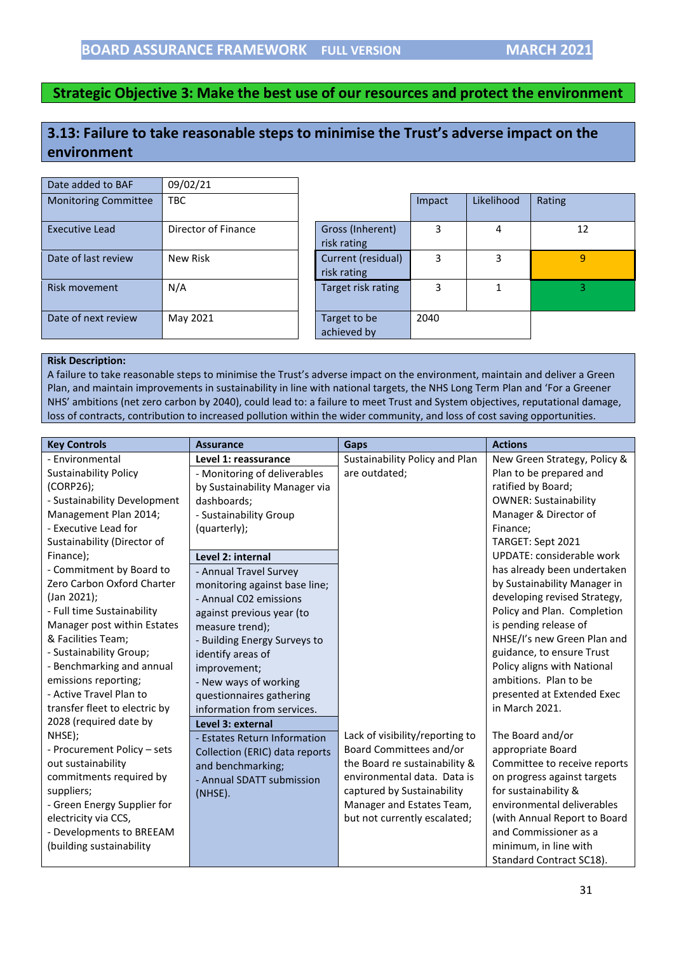# <span id="page-30-0"></span>**3.13: Failure to take reasonable steps to minimise the Trust's adverse impact on the environment**

| Date added to BAF           | 09/02/21            |                                   |        |            |        |
|-----------------------------|---------------------|-----------------------------------|--------|------------|--------|
| <b>Monitoring Committee</b> | <b>TBC</b>          |                                   | Impact | Likelihood | Rating |
| <b>Executive Lead</b>       | Director of Finance | Gross (Inherent)<br>risk rating   | 3      | 4          | 12     |
| Date of last review         | New Risk            | Current (residual)<br>risk rating | 3      | 3          | 9      |
| Risk movement               | N/A                 | Target risk rating                | 3      |            | 3      |
| Date of next review         | May 2021            | Target to be<br>achieved by       | 2040   |            |        |

#### **Risk Description:**

A failure to take reasonable steps to minimise the Trust's adverse impact on the environment, maintain and deliver a Green Plan, and maintain improvements in sustainability in line with national targets, the NHS Long Term Plan and 'For a Greener NHS' ambitions (net zero carbon by 2040), could lead to: a failure to meet Trust and System objectives, reputational damage, loss of contracts, contribution to increased pollution within the wider community, and loss of cost saving opportunities.

| <b>Key Controls</b>           | <b>Assurance</b>               | Gaps                            | <b>Actions</b>               |
|-------------------------------|--------------------------------|---------------------------------|------------------------------|
| - Environmental               | Level 1: reassurance           | Sustainability Policy and Plan  | New Green Strategy, Policy & |
| <b>Sustainability Policy</b>  | - Monitoring of deliverables   | are outdated;                   | Plan to be prepared and      |
| (CORP26);                     | by Sustainability Manager via  |                                 | ratified by Board;           |
| - Sustainability Development  | dashboards:                    |                                 | <b>OWNER: Sustainability</b> |
| Management Plan 2014;         | - Sustainability Group         |                                 | Manager & Director of        |
| - Executive Lead for          | (quarterly);                   |                                 | Finance;                     |
| Sustainability (Director of   |                                |                                 | TARGET: Sept 2021            |
| Finance);                     | Level 2: internal              |                                 | UPDATE: considerable work    |
| - Commitment by Board to      | - Annual Travel Survey         |                                 | has already been undertaken  |
| Zero Carbon Oxford Charter    | monitoring against base line;  |                                 | by Sustainability Manager in |
| (Jan 2021);                   | - Annual C02 emissions         |                                 | developing revised Strategy, |
| - Full time Sustainability    | against previous year (to      |                                 | Policy and Plan. Completion  |
| Manager post within Estates   | measure trend);                |                                 | is pending release of        |
| & Facilities Team;            | - Building Energy Surveys to   |                                 | NHSE/I's new Green Plan and  |
| - Sustainability Group;       | identify areas of              |                                 | guidance, to ensure Trust    |
| - Benchmarking and annual     | improvement;                   |                                 | Policy aligns with National  |
| emissions reporting;          | - New ways of working          |                                 | ambitions. Plan to be        |
| - Active Travel Plan to       | questionnaires gathering       |                                 | presented at Extended Exec   |
| transfer fleet to electric by | information from services.     |                                 | in March 2021.               |
| 2028 (required date by        | Level 3: external              |                                 |                              |
| NHSE);                        | - Estates Return Information   | Lack of visibility/reporting to | The Board and/or             |
| - Procurement Policy - sets   | Collection (ERIC) data reports | Board Committees and/or         | appropriate Board            |
| out sustainability            | and benchmarking;              | the Board re sustainability &   | Committee to receive reports |
| commitments required by       | - Annual SDATT submission      | environmental data. Data is     | on progress against targets  |
| suppliers;                    | (NHSE).                        | captured by Sustainability      | for sustainability &         |
| - Green Energy Supplier for   |                                | Manager and Estates Team,       | environmental deliverables   |
| electricity via CCS,          |                                | but not currently escalated;    | (with Annual Report to Board |
| - Developments to BREEAM      |                                |                                 | and Commissioner as a        |
| (building sustainability      |                                |                                 | minimum, in line with        |
|                               |                                |                                 | Standard Contract SC18).     |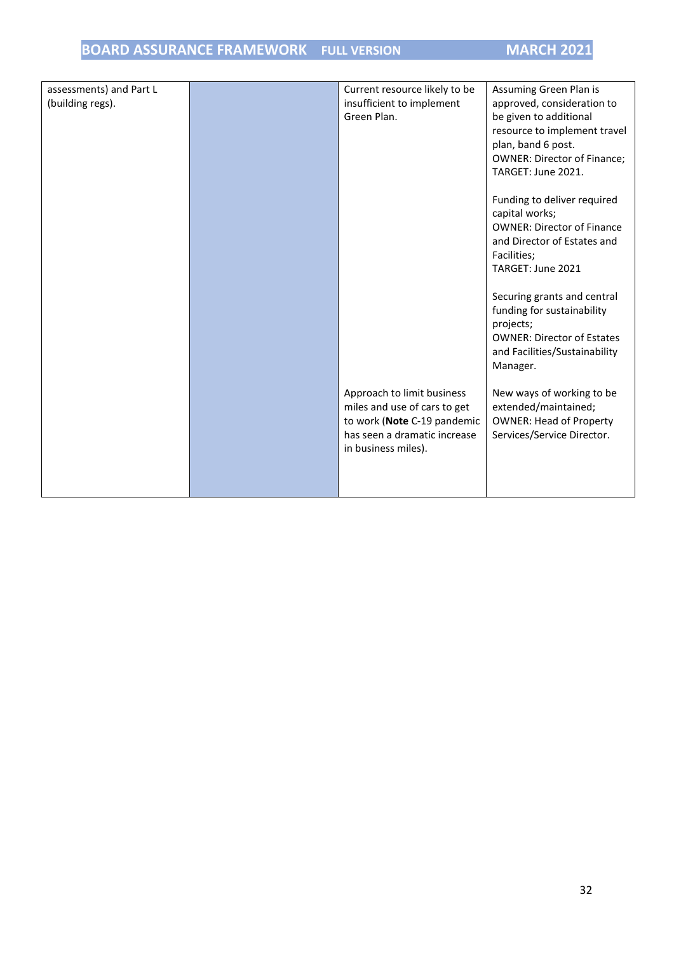# **BOARD ASSURANCE FRAMEWORK FULL VERSION MARCH 2021**

| assessments) and Part L<br>(building regs). | Current resource likely to be<br>insufficient to implement<br>Green Plan.                                                                        | Assuming Green Plan is<br>approved, consideration to<br>be given to additional<br>resource to implement travel<br>plan, band 6 post.<br><b>OWNER: Director of Finance;</b><br>TARGET: June 2021. |
|---------------------------------------------|--------------------------------------------------------------------------------------------------------------------------------------------------|--------------------------------------------------------------------------------------------------------------------------------------------------------------------------------------------------|
|                                             |                                                                                                                                                  | Funding to deliver required<br>capital works;<br><b>OWNER: Director of Finance</b><br>and Director of Estates and<br>Facilities;<br>TARGET: June 2021                                            |
|                                             |                                                                                                                                                  | Securing grants and central<br>funding for sustainability<br>projects;<br><b>OWNER: Director of Estates</b><br>and Facilities/Sustainability<br>Manager.                                         |
|                                             | Approach to limit business<br>miles and use of cars to get<br>to work (Note C-19 pandemic<br>has seen a dramatic increase<br>in business miles). | New ways of working to be<br>extended/maintained;<br><b>OWNER: Head of Property</b><br>Services/Service Director.                                                                                |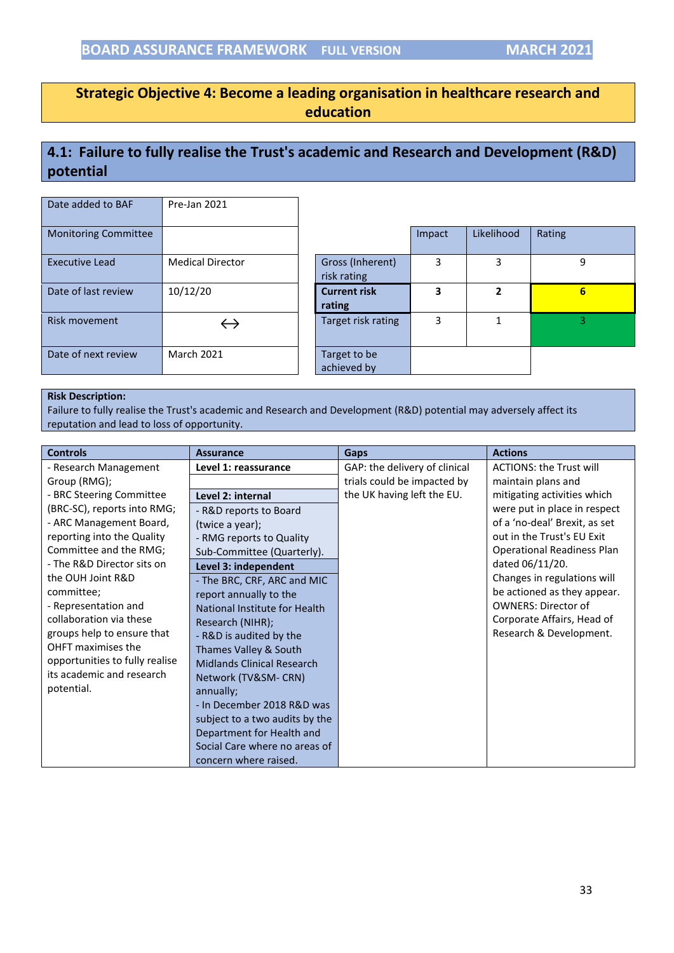## <span id="page-32-0"></span>**Strategic Objective 4: Become a leading organisation in healthcare research and education**

# **4.1: Failure to fully realise the Trust's academic and Research and Development (R&D) potential**

| Date added to BAF           | Pre-Jan 2021            |                                 |        |            |        |
|-----------------------------|-------------------------|---------------------------------|--------|------------|--------|
| <b>Monitoring Committee</b> |                         |                                 | Impact | Likelihood | Rating |
| <b>Executive Lead</b>       | <b>Medical Director</b> | Gross (Inherent)<br>risk rating | 3      | 3          | 9      |
| Date of last review         | 10/12/20                | <b>Current risk</b><br>rating   | 3      | 2          | 6      |
| <b>Risk movement</b>        | $\hookrightarrow$       | Target risk rating              | 3      |            | 3      |
| Date of next review         | <b>March 2021</b>       | Target to be<br>achieved by     |        |            |        |

#### **Risk Description:**

Failure to fully realise the Trust's academic and Research and Development (R&D) potential may adversely affect its reputation and lead to loss of opportunity.

| <b>Controls</b>                | <b>Assurance</b>                  | Gaps                          | <b>Actions</b>                    |
|--------------------------------|-----------------------------------|-------------------------------|-----------------------------------|
| - Research Management          | Level 1: reassurance              | GAP: the delivery of clinical | <b>ACTIONS: the Trust will</b>    |
| Group (RMG);                   |                                   | trials could be impacted by   | maintain plans and                |
| - BRC Steering Committee       | Level 2: internal                 | the UK having left the EU.    | mitigating activities which       |
| (BRC-SC), reports into RMG;    | - R&D reports to Board            |                               | were put in place in respect      |
| - ARC Management Board,        | (twice a year);                   |                               | of a 'no-deal' Brexit, as set     |
| reporting into the Quality     | - RMG reports to Quality          |                               | out in the Trust's EU Exit        |
| Committee and the RMG;         | Sub-Committee (Quarterly).        |                               | <b>Operational Readiness Plan</b> |
| - The R&D Director sits on     | Level 3: independent              |                               | dated 06/11/20.                   |
| the OUH Joint R&D              | - The BRC, CRF, ARC and MIC       |                               | Changes in regulations will       |
| committee;                     | report annually to the            |                               | be actioned as they appear.       |
| - Representation and           | National Institute for Health     |                               | <b>OWNERS: Director of</b>        |
| collaboration via these        | Research (NIHR);                  |                               | Corporate Affairs, Head of        |
| groups help to ensure that     | - R&D is audited by the           |                               | Research & Development.           |
| OHFT maximises the             | Thames Valley & South             |                               |                                   |
| opportunities to fully realise | <b>Midlands Clinical Research</b> |                               |                                   |
| its academic and research      | Network (TV&SM-CRN)               |                               |                                   |
| potential.                     | annually;                         |                               |                                   |
|                                | - In December 2018 R&D was        |                               |                                   |
|                                | subject to a two audits by the    |                               |                                   |
|                                | Department for Health and         |                               |                                   |
|                                | Social Care where no areas of     |                               |                                   |
|                                | concern where raised.             |                               |                                   |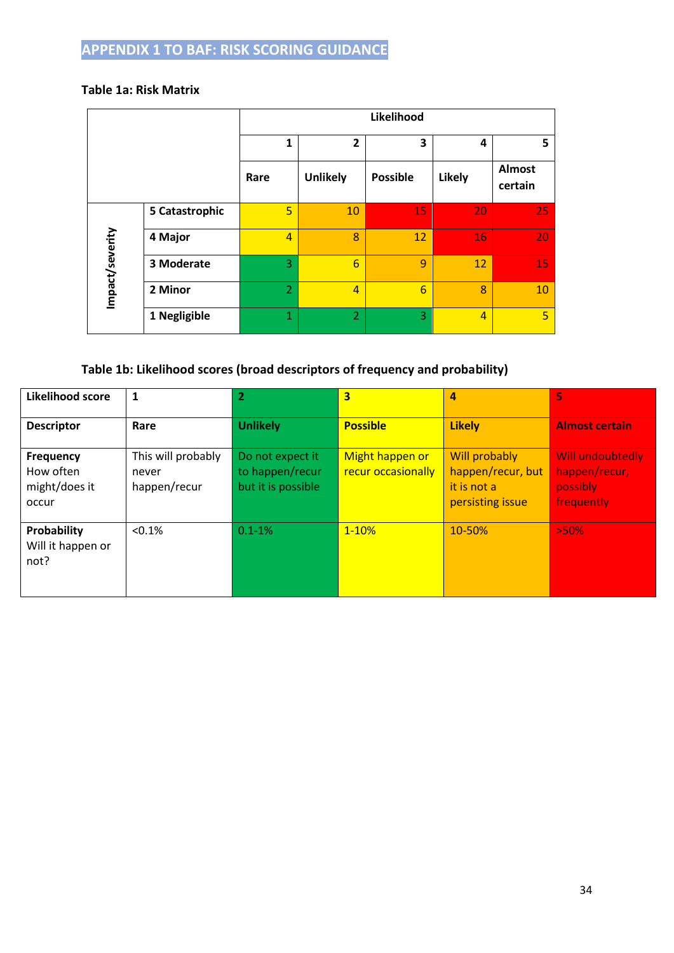## <span id="page-33-0"></span>**Table 1a: Risk Matrix**

|                 |                | Likelihood     |                                   |                 |                |                          |  |  |
|-----------------|----------------|----------------|-----------------------------------|-----------------|----------------|--------------------------|--|--|
|                 |                | 1              | $\overline{\mathbf{2}}$<br>3<br>4 |                 |                |                          |  |  |
|                 |                | Rare           | <b>Unlikely</b>                   | <b>Possible</b> | <b>Likely</b>  | <b>Almost</b><br>certain |  |  |
|                 | 5 Catastrophic | 5              | 10                                | 15              | 20             | 25                       |  |  |
|                 | 4 Major        | $\overline{4}$ | 8                                 | 12              | 16             | 20                       |  |  |
| Impact/severity | 3 Moderate     | 3              | $6\phantom{1}6$                   | 9               | 12             | 15                       |  |  |
|                 | 2 Minor        | $\overline{2}$ | $\overline{4}$                    | 6               | 8              | 10                       |  |  |
|                 | 1 Negligible   | $\mathbf{1}$   | $\overline{2}$                    | 3               | $\overline{4}$ | 5                        |  |  |

# **Table 1b: Likelihood scores (broad descriptors of frequency and probability)**

| Likelihood score                                        | 1                                           | $\overline{2}$                                            | $\overline{\mathbf{3}}$               | 4                                                                            | Ġ,                                                          |
|---------------------------------------------------------|---------------------------------------------|-----------------------------------------------------------|---------------------------------------|------------------------------------------------------------------------------|-------------------------------------------------------------|
| <b>Descriptor</b>                                       | Rare                                        | <b>Unlikely</b>                                           | <b>Possible</b>                       | <b>Likely</b>                                                                | <b>Almost certain</b>                                       |
| <b>Frequency</b><br>How often<br>might/does it<br>occur | This will probably<br>never<br>happen/recur | Do not expect it<br>to happen/recur<br>but it is possible | Might happen or<br>recur occasionally | <b>Will probably</b><br>happen/recur, but<br>it is not a<br>persisting issue | Will undoubtedly<br>happen/recur,<br>possibly<br>frequently |
| Probability<br>Will it happen or<br>not?                | < 0.1%                                      | $0.1 - 1\%$                                               | $1 - 10%$                             | 10-50%                                                                       | >50%                                                        |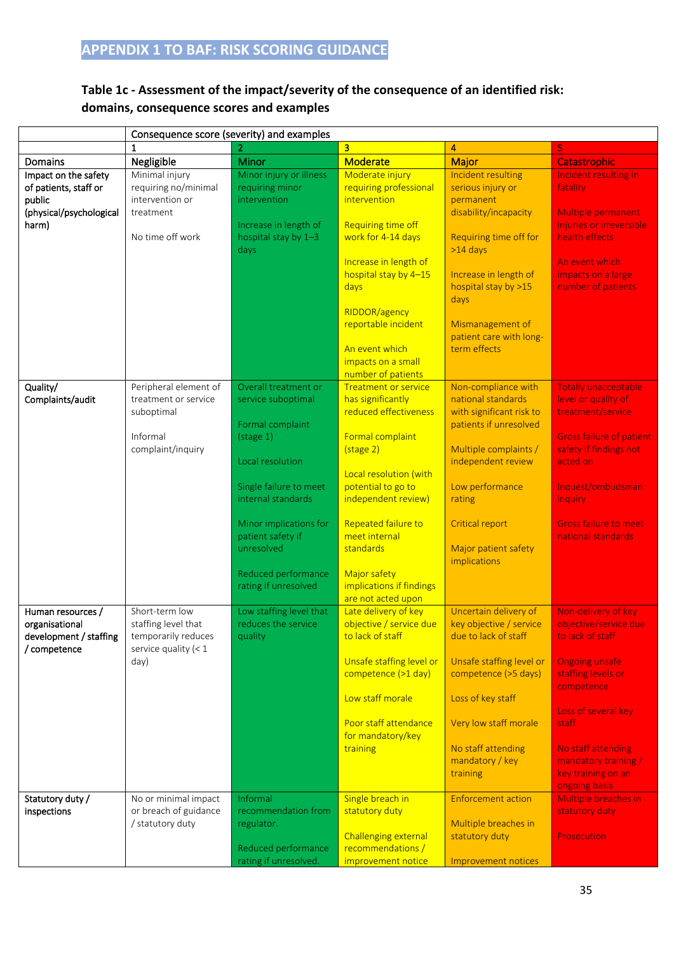## **Table 1c - Assessment of the impact/severity of the consequence of an identified risk: domains, consequence scores and examples**

|                                                                                             |                                                                                                | Consequence score (severity) and examples                                                                                                                                                                                                                             |                                                                                                                                                                                                                                                                                                          |                                                                                                                                                                                                                                               |                                                                                                                                                                                                                                              |
|---------------------------------------------------------------------------------------------|------------------------------------------------------------------------------------------------|-----------------------------------------------------------------------------------------------------------------------------------------------------------------------------------------------------------------------------------------------------------------------|----------------------------------------------------------------------------------------------------------------------------------------------------------------------------------------------------------------------------------------------------------------------------------------------------------|-----------------------------------------------------------------------------------------------------------------------------------------------------------------------------------------------------------------------------------------------|----------------------------------------------------------------------------------------------------------------------------------------------------------------------------------------------------------------------------------------------|
|                                                                                             | 1                                                                                              |                                                                                                                                                                                                                                                                       | $\overline{\mathbf{3}}$                                                                                                                                                                                                                                                                                  | $\blacktriangle$                                                                                                                                                                                                                              | 5                                                                                                                                                                                                                                            |
| Domains                                                                                     | Negligible                                                                                     | Minor                                                                                                                                                                                                                                                                 | Moderate                                                                                                                                                                                                                                                                                                 | <b>Major</b>                                                                                                                                                                                                                                  | Catastrophic                                                                                                                                                                                                                                 |
| Impact on the safety<br>of patients, staff or<br>public<br>(physical/psychological<br>harm) | Minimal injury<br>requiring no/minimal<br>intervention or<br>treatment<br>No time off work     | Minor injury or illness<br>requiring minor<br>intervention<br>Increase in length of<br>hospital stay by 1-3<br>days                                                                                                                                                   | Moderate injury<br>requiring professional<br>intervention<br><b>Requiring time off</b><br>work for 4-14 days<br>Increase in length of<br>hospital stay by 4-15<br>days<br>RIDDOR/agency<br>reportable incident<br>An event which<br>impacts on a small<br>number of patients                             | Incident resulting<br>serious injury or<br>permanent<br>disability/incapacity<br>Requiring time off for<br>$>14$ days<br>Increase in length of<br>hospital stay by >15<br>days<br>Mismanagement of<br>patient care with long-<br>term effects | Incident resulting in<br>fatality<br>Multiple permanent<br>injuries or irreversible<br>health effects<br>An event which<br>impacts on a large<br>number of patients                                                                          |
| Quality/<br>Complaints/audit                                                                | Peripheral element of<br>treatment or service<br>suboptimal<br>Informal<br>complaint/inquiry   | Overall treatment or<br>service suboptimal<br>Formal complaint<br>$(\text{stage } 1)$<br>Local resolution<br>Single failure to meet<br>internal standards<br>Minor implications for<br>patient safety if<br>unresolved<br>Reduced performance<br>rating if unresolved | <b>Treatment or service</b><br>has significantly<br>reduced effectiveness<br>Formal complaint<br>(stage 2)<br>Local resolution (with<br>potential to go to<br>independent review)<br>Repeated failure to<br>meet internal<br>standards<br>Major safety<br>implications if findings<br>are not acted upon | Non-compliance with<br>national standards<br>with significant risk to<br>patients if unresolved<br>Multiple complaints /<br>independent review<br>Low performance<br>rating<br><b>Critical report</b><br>Major patient safety<br>implications | <b>Totally unacceptable</b><br>level or quality of<br>treatment/service<br><b>Gross failure of patient</b><br>safety if findings not<br>acted on<br>Inquest/ombudsman<br>inquiry<br><b>Gross failure to meet</b><br>national standards       |
| Human resources /<br>organisational<br>development / staffing<br>/ competence               | Short-term low<br>staffing level that<br>temporarily reduces<br>service quality $(< 1$<br>day) | Low staffing level that<br>reduces the service<br>quality                                                                                                                                                                                                             | Late delivery of key<br>objective / service due<br>to lack of staff<br>Unsafe staffing level or<br>competence (>1 day)<br>Low staff morale<br>Poor staff attendance<br>for mandatory/key<br>training                                                                                                     | Uncertain delivery of<br>key objective / service<br>due to lack of staff<br>Unsafe staffing level or<br>competence (>5 days)<br>Loss of key staff<br>Very low staff morale<br>No staff attending<br>mandatory / key<br>training               | Non-delivery of key<br>objective/service due<br>to lack of staff.<br>Ongoing unsafe<br>staffing levels or<br>competence<br>Loss of several key<br>staff<br>No staff attending<br>mandatory training /<br>key training on an<br>ongoing basis |
| Statutory duty /<br>inspections                                                             | No or minimal impact<br>or breach of guidance<br>/ statutory duty                              | Informal<br>recommendation from<br>regulator.<br>Reduced performance<br>rating if unresolved.                                                                                                                                                                         | Single breach in<br>statutory duty<br><b>Challenging external</b><br>recommendations /<br>improvement notice                                                                                                                                                                                             | <b>Enforcement action</b><br>Multiple breaches in<br>statutory duty<br>Improvement notices                                                                                                                                                    | Multiple breaches in<br>statutory duty<br><b>Prosecution</b>                                                                                                                                                                                 |